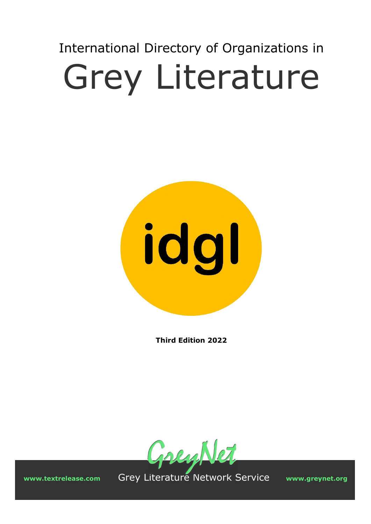# International Directory of Organizations in Grey Literature



**Third Edition 2022** 



 **www.textrelease.com** Grey Literature Network Service **www.greynet.org**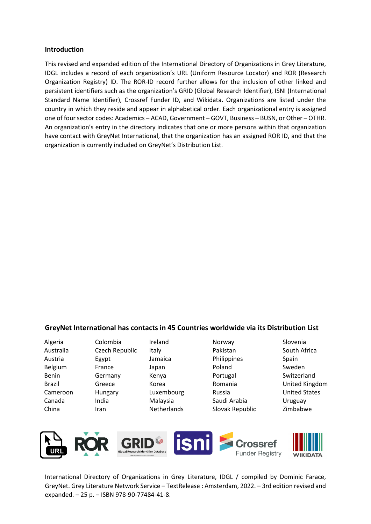#### **Introduction**

This revised and expanded edition of the International Directory of Organizations in Grey Literature, IDGL includes a record of each organization's URL (Uniform Resource Locator) and ROR (Research Organization Registry) ID. The ROR-ID record further allows for the inclusion of other linked and persistent identifiers such as the organization's GRID (Global Research Identifier), ISNI (International Standard Name Identifier), Crossref Funder ID, and Wikidata. Organizations are listed under the country in which they reside and appear in alphabetical order. Each organizational entry is assigned one of four sector codes: Academics – ACAD, Government – GOVT, Business – BUSN, or Other – OTHR. An organization's entry in the directory indicates that one or more persons within that organization have contact with GreyNet International, that the organization has an assigned ROR ID, and that the organization is currently included on GreyNet's Distribution List.

#### **GreyNet International has contacts in 45 Countries worldwide via its Distribution List**

| Algeria   |
|-----------|
| Australia |
| Austria   |
| Belgium   |
| Benin     |
| Brazil    |
| Cameroon  |
| Canada    |
| China     |

Colombia Czech Republic Egypt France Germany Greece Hungary India Iran

Ireland Italy Jamaica Japan Kenya Korea Luxembourg Malaysia Netherlands

- Norway Pakistan Philippines Poland Portugal Romania Russia Saudi Arabia Slovak Republic
- Slovenia South Africa Spain Sweden Switzerland United Kingdom United States Uruguay Zimbabwe



International Directory of Organizations in Grey Literature, IDGL / compiled by Dominic Farace, GreyNet. Grey Literature Network Service – TextRelease : Amsterdam, 2022. – 3rd edition revised and expanded. – 25 p. – ISBN 978-90-77484-41-8.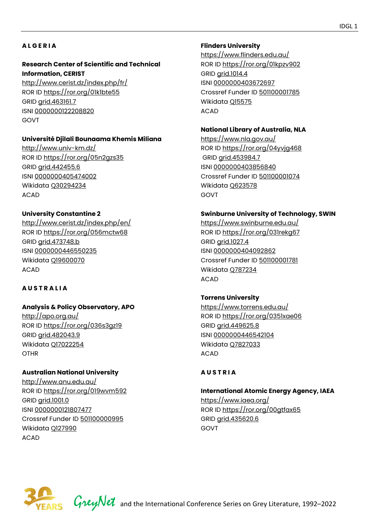# **A L G E R I A**

#### **Research Center of Scientific and Technical Information, CERIST**

<http://www.cerist.dz/index.php/fr/> ROR ID<https://ror.org/01k1bte55> GRID [grid.463161.7](https://grid.ac/institutes/grid.463161.7) ISNI [0000000122208820](http://isni.org/isni/0000000122208820) GOVT

#### **Université Djilali Bounaama Khemis Miliana**

<http://www.univ-km.dz/> ROR ID<https://ror.org/05n2gzs35> GRID [grid.442455.6](https://grid.ac/institutes/grid.442455.6)  ISNI [0000000405474002](http://isni.org/isni/0000000405474002) Wikidata [Q30294234](https://www.wikidata.org/wiki/Q30294234) ACAD

#### **University Constantine 2**

<http://www.cerist.dz/index.php/en/> ROR ID<https://ror.org/056mctw68> GRID [grid.473748.b](https://grid.ac/institutes/grid.473748.b)  ISNI [0000000446550235](http://isni.org/isni/0000000446550235) Wikidata [Q19600070](https://www.wikidata.org/wiki/Q19600070) ACAD

#### **A U S T R A L I A**

# **Analysis & Policy Observatory, APO**

<http://apo.org.au/> ROR ID<https://ror.org/036s3gz19> GRID [grid.482043.9](https://grid.ac/institutes/grid.482043.9) Wikidata [Q17022254](https://www.wikidata.org/wiki/Q17022254) **OTHR** 

#### **Australian National University**

<http://www.anu.edu.au/> ROR ID<https://ror.org/019wvm592> GRID [grid.1001.0](https://grid.ac/institutes/grid.1001.0)  ISNI [0000000121807477](http://isni.org/isni/0000000121807477) Crossref Funder ID [501100000995](https://api.crossref.org/funders/501100000995) Wikidata [Q127990](https://www.wikidata.org/wiki/Q127990) ACAD

#### **Flinders University**

<https://www.flinders.edu.au/> ROR ID<https://ror.org/01kpzv902> GRID [grid.1014.4](https://grid.ac/institutes/grid.1014.4)  ISNI [0000000403672697](http://isni.org/isni/0000000403672697)  Crossref Funder ID [501100001785](https://api.crossref.org/funders/501100001785) Wikidata [Q15575](https://www.wikidata.org/wiki/Q15575) ACAD

#### **National Library of Australia, NLA**

https://www.nla.gov.au/ ROR ID<https://ror.org/04yvjg468> GRID [grid.453984.7](https://grid.ac/institutes/grid.453984.7)  ISNI [0000000403856840](http://isni.org/isni/0000000403856840) Crossref Funder ID [501100001074](https://api.crossref.org/funders/501100001074) Wikidata [Q623578](https://www.wikidata.org/wiki/Q623578)  GOVT

#### **Swinburne University of Technology, SWIN**

<https://www.swinburne.edu.au/> ROR ID<https://ror.org/031rekg67> GRID [grid.1027.4](https://grid.ac/institutes/grid.1027.4) ISNI [0000000404092862](http://isni.org/isni/0000000404092862) Crossref Funder ID [501100001781](https://api.crossref.org/funders/501100001781) Wikidata [Q787234](https://www.wikidata.org/wiki/Q787234)  ACAD

#### **Torrens University**

<https://www.torrens.edu.au/> ROR ID<https://ror.org/0351xae06> GRID [grid.449625.8](https://grid.ac/institutes/grid.449625.8) ISNI [0000000446542104](http://isni.org/isni/0000000446542104)  Wikidata [Q7827033](https://www.wikidata.org/wiki/Q7827033)  ACAD

#### **A U S T R I A**

# **International Atomic Energy Agency, IAEA**

<https://www.iaea.org/> ROR ID<https://ror.org/00gtfax65> GRID [grid.435620.6](https://grid.ac/institutes/grid.435620.6) GOVT



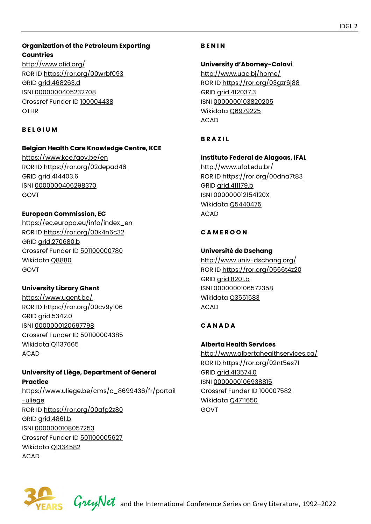# **Organization of the Petroleum Exporting Countries**

<http://www.ofid.org/> ROR ID<https://ror.org/00wrbf093> GRID [grid.468263.d](https://grid.ac/institutes/grid.468263.d) ISNI [0000000405232708](http://isni.org/isni/0000000405232708) Crossref Funder ID [100004438](https://api.crossref.org/funders/100004438) **OTHR** 

# **B E L G I U M**

# **Belgian Health Care Knowledge Centre, KCE**

<https://www.kce.fgov.be/en> ROR ID<https://ror.org/02depad46> GRID [grid.414403.6](https://grid.ac/institutes/grid.414403.6)  ISNI [0000000406298370](http://isni.org/isni/0000000406298370)  GOVT

# **European Commission, EC**

[https://ec.europa.eu/info/index\\_en](https://ec.europa.eu/info/index_en)  ROR ID<https://ror.org/00k4n6c32> GRID [grid.270680.b](https://grid.ac/institutes/grid.270680.b) Crossref Funder ID [501100000780](https://api.crossref.org/funders/501100000780) Wikidata [Q8880](https://www.wikidata.org/wiki/Q8880)  GOVT

# **University Library Ghent**

<https://www.ugent.be/> ROR ID<https://ror.org/00cv9y106> GRID [grid.5342.0](https://grid.ac/institutes/grid.5342.0)  ISNI [0000000120697798](http://isni.org/isni/0000000120697798) Crossref Funder ID [501100004385](https://api.crossref.org/funders/501100004385)  Wikidata [Q1137665](https://www.wikidata.org/wiki/Q1137665) ACAD

# **University of Liège, Department of General Practice**

[https://www.uliege.be/cms/c\\_8699436/fr/portail](https://www.uliege.be/cms/c_8699436/fr/portail-uliege) [-uliege](https://www.uliege.be/cms/c_8699436/fr/portail-uliege) ROR ID<https://ror.org/00afp2z80> GRID [grid.4861.b](https://grid.ac/institutes/grid.4861.b) ISNI [0000000108057253](http://isni.org/isni/0000000108057253) Crossref Funder ID [501100005627](https://api.crossref.org/funders/501100005627)  Wikidata [Q1334582](https://www.wikidata.org/wiki/Q1334582) ACAD

# **B E N I N**

**University d'Abomey-Calavi**  <http://www.uac.bj/home/> ROR ID<https://ror.org/03gzr6j88> GRID [grid.412037.3](https://grid.ac/institutes/grid.412037.3) ISNI [0000000103820205](http://isni.org/isni/0000000103820205)  Wikidata [Q6979225](https://www.wikidata.org/wiki/Q6979225)  ACAD

# **B R A Z I L**

**Instituto Federal de Alagoas, IFAL**  <http://www.ufal.edu.br/>

ROR ID<https://ror.org/00dna7t83> GRID [grid.411179.b](https://grid.ac/institutes/grid.411179.b)  ISNI [000000012154120X](http://isni.org/isni/000000012154120X) Wikidata [Q5440475](https://www.wikidata.org/wiki/Q5440475)  ACAD

# **C A M E R O O N**

# **Université de Dschang**

<http://www.univ-dschang.org/> ROR ID<https://ror.org/0566t4z20> GRID [grid.8201.b](https://grid.ac/institutes/grid.8201.b)  ISNI [0000000106572358](http://isni.org/isni/0000000106572358)  Wikidata [Q3551583](https://www.wikidata.org/wiki/Q3551583)  ACAD

# **C A N A D A**

#### **Alberta Health Services**

<http://www.albertahealthservices.ca/> ROR ID<https://ror.org/02nt5es71> GRID [grid.413574.0](https://grid.ac/institutes/grid.413574.0) ISNI [0000000106938815](http://isni.org/isni/0000000106938815) Crossref Funder ID [100007582](https://api.crossref.org/funders/100007582) Wikidata [Q4711650](https://www.wikidata.org/wiki/Q4711650)  GOVT



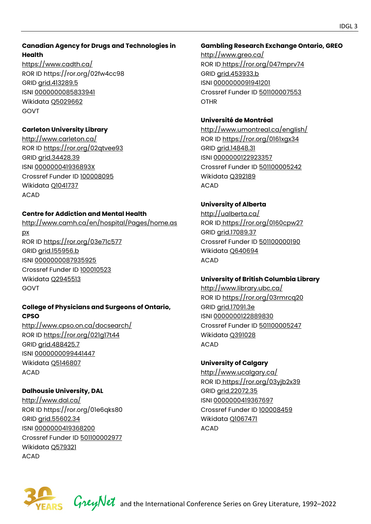# **Canadian Agency for Drugs and Technologies in Health**

<https://www.cadth.ca/> ROR ID<https://ror.org/02fw4cc98> GRID [grid.413289.5](https://grid.ac/institutes/grid.413289.5) ISNI [0000000085833941](http://isni.org/isni/0000000085833941) Wikidata [Q5029662](https://www.wikidata.org/wiki/Q5029662)  GOVT

# **Carleton University Library**

<http://www.carleton.ca/> ROR ID<https://ror.org/02qtvee93> GRID [grid.34428.39](https://grid.ac/institutes/grid.34428.39) ISNI [000000041936893X](http://isni.org/isni/000000041936893X) Crossref Funder ID [100008095](https://api.crossref.org/funders/100008095) Wikidata [Q1041737](https://www.wikidata.org/wiki/Q1041737) ACAD

# **Centre for Addiction and Mental Health**

[http://www.camh.ca/en/hospital/Pages/home.as](http://www.camh.ca/en/hospital/Pages/home.aspx) [px](http://www.camh.ca/en/hospital/Pages/home.aspx)  ROR ID<https://ror.org/03e71c577> GRID [grid.155956.b](https://grid.ac/institutes/grid.155956.b)  ISNI [0000000087935925](http://isni.org/isni/0000000087935925)  Crossref Funder ID [100010523](https://api.crossref.org/funders/100010523) Wikidata [Q2945513](https://www.wikidata.org/wiki/Q2945513)  GOVT

# **College of Physicians and Surgeons of Ontario, CPSO**

<http://www.cpso.on.ca/docsearch/> ROR ID<https://ror.org/021g17t44> GRID [grid.488425.7](https://grid.ac/institutes/grid.488425.7) ISNI [0000000099441447](http://isni.org/isni/0000000099441447) Wikidata [Q5146807](https://www.wikidata.org/wiki/Q5146807)  ACAD

# **Dalhousie University, DAL**

<http://www.dal.ca/> ROR ID<https://ror.org/01e6qks80> GRID [grid.55602.34](https://grid.ac/institutes/grid.55602.34) ISNI [0000000419368200](http://isni.org/isni/0000000419368200) Crossref Funder ID [501100002977](https://api.crossref.org/funders/501100002977)  Wikidata [Q579321](https://www.wikidata.org/wiki/Q579321) ACAD

# **Gambling Research Exchange Ontario, GREO**

http://www.greo.ca/ ROR ID<https://ror.org/047mprv74> GRID [grid.453933.b](https://grid.ac/institutes/grid.453933.b)  ISNI [0000000091941201](http://isni.org/isni/0000000091941201)  Crossref Funder ID [501100007553](https://api.crossref.org/funders/501100007553)  OTHR

# **Université de Montréal**

<http://www.umontreal.ca/english/> ROR ID<https://ror.org/0161xgx34> GRID [grid.14848.31](https://grid.ac/institutes/grid.14848.31)  ISNI [0000000122923357](http://isni.org/isni/0000000122923357) Crossref Funder ID [501100005242](https://api.crossref.org/funders/501100005242) Wikidata [Q392189](https://www.wikidata.org/wiki/Q392189) ACAD

# **University of Alberta**

<http://ualberta.ca/> ROR ID<https://ror.org/0160cpw27> GRID [grid.17089.37](https://grid.ac/institutes/grid.17089.37) Crossref Funder ID [501100000190](https://api.crossref.org/funders/501100000190) Wikidata [Q640694](https://www.wikidata.org/wiki/Q640694) ACAD

# **University of British Columbia Library**

<http://www.library.ubc.ca/> ROR ID<https://ror.org/03rmrcq20> GRID [grid.17091.3e](https://grid.ac/institutes/grid.17091.3e)  ISNI [0000000122889830](http://isni.org/isni/0000000122889830)  Crossref Funder ID [501100005247](https://api.crossref.org/funders/501100005247)  Wikidata [Q391028](https://www.wikidata.org/wiki/Q391028) ACAD

# **University of Calgary**

<http://www.ucalgary.ca/> ROR ID<https://ror.org/03yjb2x39> GRID [grid.22072.35](https://grid.ac/institutes/grid.22072.35) ISNI [0000000419367697](http://isni.org/isni/0000000419367697) Crossref Funder ID [100008459](https://api.crossref.org/funders/100008459) Wikidata [Q1067471](https://www.wikidata.org/wiki/Q1067471) ACAD

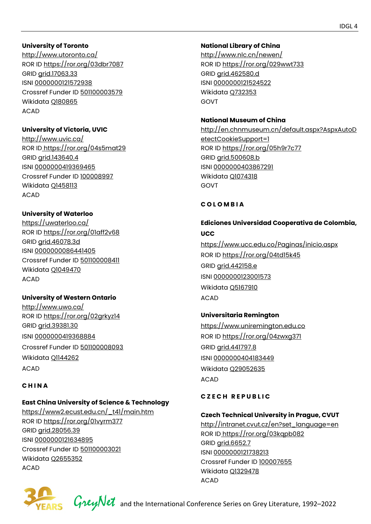#### **University of Toronto**

<http://www.utoronto.ca/> ROR ID<https://ror.org/03dbr7087> GRID [grid.17063.33](https://grid.ac/institutes/grid.17063.33) ISNI [0000000121572938](http://isni.org/isni/0000000121572938)  Crossref Funder ID [501100003579](https://api.crossref.org/funders/501100003579)  Wikidata [Q180865](https://www.wikidata.org/wiki/Q180865) ACAD

#### **University of Victoria, UVIC**

<http://www.uvic.ca/> ROR ID<https://ror.org/04s5mat29> GRID [grid.143640.4](https://grid.ac/institutes/grid.143640.4)  ISNI [0000000419369465](http://isni.org/isni/0000000419369465) Crossref Funder ID [100008997](https://api.crossref.org/funders/100008997)  Wikidata [Q1458113](https://www.wikidata.org/wiki/Q1458113) ACAD

#### **University of Waterloo**

<https://uwaterloo.ca/> ROR ID<https://ror.org/01aff2v68> GRID [grid.46078.3d](https://grid.ac/institutes/grid.46078.3d)  ISNI [0000000086441405](http://isni.org/isni/0000000086441405) Crossref Funder ID [501100008411](https://api.crossref.org/funders/501100008411)  Wikidata [Q1049470](https://www.wikidata.org/wiki/Q1049470)  ACAD

#### **University of Western Ontario**

<http://www.uwo.ca/> ROR ID<https://ror.org/02grkyz14> GRID [grid.39381.30](https://grid.ac/institutes/grid.39381.30) ISNI [0000000419368884](http://isni.org/isni/0000000419368884) Crossref Funder ID [501100008093](https://api.crossref.org/funders/501100008093)  Wikidata [Q1144262](https://www.wikidata.org/wiki/Q1144262) ACAD

# **C H I N A**

# **East China University of Science & Technology**

[https://www2.ecust.edu.cn/\\_t41/main.htm](https://www2.ecust.edu.cn/_t41/main.htm) ROR ID<https://ror.org/01vyrm377> GRID [grid.28056.39](https://grid.ac/institutes/grid.28056.39) ISNI [0000000121634895](http://isni.org/isni/0000000121634895) Crossref Funder ID [501100003021](https://api.crossref.org/funders/501100003021) Wikidata [Q2655352](https://www.wikidata.org/wiki/Q2655352) ACAD

#### **National Library of China**

http://www.nlc.cn/newen/ ROR ID<https://ror.org/029wwt733> GRID [grid.462580.d](https://grid.ac/institutes/grid.462580.d) ISNI [0000000121524522](http://isni.org/isni/0000000121524522) Wikidata [Q732353](https://www.wikidata.org/wiki/Q732353)  GOVT

#### **National Museum of China**

[http://en.chnmuseum.cn/default.aspx?AspxAutoD](http://en.chnmuseum.cn/default.aspx?AspxAutoDetectCookieSupport=1) [etectCookieSupport=1](http://en.chnmuseum.cn/default.aspx?AspxAutoDetectCookieSupport=1) ROR ID<https://ror.org/05h9r7c77> GRID [grid.500608.b](https://grid.ac/institutes/grid.500608.b)  ISNI [0000000403867291](http://isni.org/isni/0000000403867291)  Wikidata [Q1074318](https://www.wikidata.org/wiki/Q1074318) GOVT

#### **C O L O M B I A**

# **Ediciones Universidad Cooperativa de Colombia, UCC**

<https://www.ucc.edu.co/Paginas/inicio.aspx> ROR ID<https://ror.org/04td15k45> GRID [grid.442158.e](https://grid.ac/institutes/grid.442158.e)  ISNI [0000000123001573](http://isni.org/isni/0000000123001573) Wikidata [Q5167910](https://www.wikidata.org/wiki/Q5167910)  ACAD

# **Universitaria Remington**

[https://www.uniremington.edu.co](https://www.uniremington.edu.co/)  ROR ID<https://ror.org/04zwxg371> GRID [grid.441797.8](https://grid.ac/institutes/grid.441797.8)  ISNI [0000000404183449](http://isni.org/isni/0000000404183449) Wikidata [Q29052635](https://www.wikidata.org/wiki/Q29052635)  ACAD

#### **C Z E C H R E P U B L I C**

#### **Czech Technical University in Prague, CVUT**

[http://intranet.cvut.cz/en?set\\_language=en](http://intranet.cvut.cz/en?set_language=en) ROR ID<https://ror.org/03kqpb082> GRID [grid.6652.7](https://grid.ac/institutes/grid.6652.7) ISNI [0000000121738213](http://isni.org/isni/0000000121738213) Crossref Funder ID [100007655](https://api.crossref.org/funders/100007655)  Wikidata [Q1329478](https://www.wikidata.org/wiki/Q1329478)  ACAD



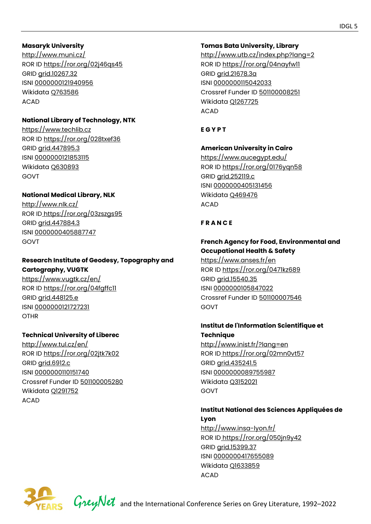#### **Masaryk University**

<http://www.muni.cz/> ROR ID<https://ror.org/02j46qs45> GRID [grid.10267.32](https://grid.ac/institutes/grid.10267.32) ISNI [0000000121940956](http://isni.org/isni/0000000121940956)  Wikidata [Q763586](https://www.wikidata.org/wiki/Q763586) ACAD

# **National Library of Technology, NTK**

[https://www.techlib.cz](https://www.techlib.cz/) ROR ID<https://ror.org/028txef36> GRID [grid.447895.3](https://grid.ac/institutes/grid.447895.3) ISNI [0000000121853115](http://isni.org/isni/0000000121853115) Wikidata [Q630893](https://www.wikidata.org/wiki/Q630893)  GOVT

# **National Medical Library, NLK**

<http://www.nlk.cz/> ROR ID<https://ror.org/03zszgs95> GRID [grid.447884.3](https://grid.ac/institutes/grid.447884.3) ISNI [0000000405887747](http://isni.org/isni/0000000405887747)  GOVT

# **Research Institute of Geodesy, Topography and Cartography, VUGTK**

<https://www.vugtk.cz/en/> ROR ID<https://ror.org/04fgffc11> GRID [grid.448125.e](https://grid.ac/institutes/grid.448125.e)  ISNI [0000000121727231](http://isni.org/isni/0000000121727231) **OTHR** 

# **Technical University of Liberec**

<http://www.tul.cz/en/> ROR ID<https://ror.org/02jtk7k02> GRID [grid.6912.c](https://grid.ac/institutes/grid.6912.c) ISNI [0000000110151740](http://isni.org/isni/0000000110151740) Crossref Funder ID [501100005280](https://api.crossref.org/funders/501100005280)  Wikidata [Q1291752](https://www.wikidata.org/wiki/Q1291752) ACAD

# **Tomas Bata University, Library**

<http://www.utb.cz/index.php?lang=2> ROR ID<https://ror.org/04nayfw11> GRID [grid.21678.3a](https://grid.ac/institutes/grid.21678.3a) ISNI [0000000115042033](http://isni.org/isni/0000000115042033)  Crossref Funder ID [501100008251](https://api.crossref.org/funders/501100008251) Wikidata [Q1267725](https://www.wikidata.org/wiki/Q1267725)  ACAD

# **E G Y P T**

# **American University in Cairo**

<https://www.aucegypt.edu/> ROR ID<https://ror.org/0176yqn58> GRID [grid.252119.c](https://grid.ac/institutes/grid.252119.c)  ISNI [0000000405131456](http://isni.org/isni/0000000405131456)  Wikidata [Q469476](https://www.wikidata.org/wiki/Q469476)  ACAD

# **F R A N C E**

# **French Agency for Food, Environmental and Occupational Health & Safety**

<https://www.anses.fr/en> ROR ID<https://ror.org/0471kz689> GRID [grid.15540.35](https://grid.ac/institutes/grid.15540.35)  ISNI [0000000105847022](http://isni.org/isni/0000000105847022) Crossref Funder ID [501100007546](https://api.crossref.org/funders/501100007546) GOVT

# **Institut de l'Information Scientifique et Technique**

<http://www.inist.fr/?lang=en> ROR ID<https://ror.org/02mn0vt57> GRID [grid.435241.5](https://grid.ac/institutes/grid.435241.5) ISNI [0000000089755987](http://isni.org/isni/0000000089755987)  Wikidata [Q3152021](https://www.wikidata.org/wiki/Q3152021) GOVT

#### **Institut National des Sciences Appliquées de Lyon**

<http://www.insa-lyon.fr/> ROR ID<https://ror.org/050jn9y42> GRID [grid.15399.37](https://grid.ac/institutes/grid.15399.37)  ISNI [0000000417655089](http://isni.org/isni/0000000417655089)  Wikidata [Q1633859](https://www.wikidata.org/wiki/Q1633859)  ACAD

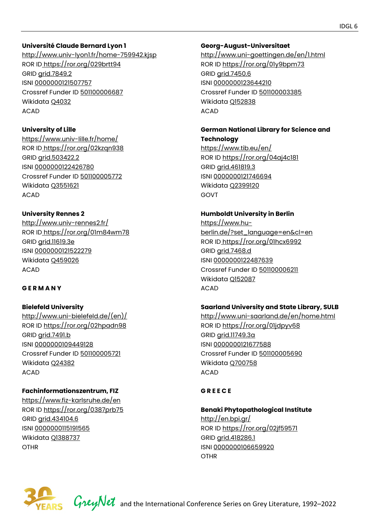#### **Université Claude Bernard Lyon 1**

<http://www.univ-lyon1.fr/home-759942.kjsp> ROR ID<https://ror.org/029brtt94> GRID [grid.7849.2](https://grid.ac/institutes/grid.7849.2) ISNI [0000000121507757](http://isni.org/isni/0000000121507757) Crossref Funder ID [501100006687](https://api.crossref.org/funders/501100006687) Wikidata [Q4032](https://www.wikidata.org/wiki/Q4032)  ACAD

#### **University of Lille**

https://www.univ-lille.fr/home/ ROR ID<https://ror.org/02kzqn938> GRID [grid.503422.2](https://grid.ac/institutes/grid.503422.2) ISNI [0000000122426780](http://isni.org/isni/0000000122426780)  Crossref Funder ID [501100005772](https://api.crossref.org/funders/501100005772)  Wikidata [Q3551621](https://www.wikidata.org/wiki/Q3551621)  ACAD

# **University Rennes 2**

<http://www.univ-rennes2.fr/> ROR ID<https://ror.org/01m84wm78> GRID [grid.11619.3e](https://grid.ac/institutes/grid.11619.3e)  ISNI [0000000121522279](http://isni.org/isni/0000000121522279) Wikidata [Q459026](https://www.wikidata.org/wiki/Q459026)  ACAD

# **G E R M A N Y**

**Bielefeld University**  [http://www.uni-bielefeld.de/\(en\)/](http://www.uni-bielefeld.de/(en)/) ROR ID<https://ror.org/02hpadn98> GRID [grid.7491.b](https://grid.ac/institutes/grid.7491.b) ISNI [0000000109449128](http://isni.org/isni/0000000109449128)  Crossref Funder ID [501100005721](https://api.crossref.org/funders/501100005721)  Wikidata [Q24382](https://www.wikidata.org/wiki/Q24382)  ACAD

# **Fachinformationszentrum, FIZ**

<https://www.fiz-karlsruhe.de/en> ROR ID<https://ror.org/0387prb75> GRID [grid.434104.6](https://grid.ac/institutes/grid.434104.6)  ISNI [0000000115191565](http://isni.org/isni/0000000115191565) Wikidata [Q1388737](https://www.wikidata.org/wiki/Q1388737) OTHR

#### **Georg-August-Universitaet**

<http://www.uni-goettingen.de/en/1.html> ROR ID<https://ror.org/01y9bpm73> GRID [grid.7450.6](https://grid.ac/institutes/grid.7450.6) ISNI [0000000123644210](http://isni.org/isni/0000000123644210)  Crossref Funder ID [501100003385](https://api.crossref.org/funders/501100003385) Wikidata [Q152838](https://www.wikidata.org/wiki/Q152838) ACAD

# **German National Library for Science and**

**Technology**  <https://www.tib.eu/en/> ROR ID<https://ror.org/04aj4c181> GRID [grid.461819.3](https://grid.ac/institutes/grid.461819.3)  ISNI [0000000121746694](http://isni.org/isni/0000000121746694) Wikidata [Q2399120](https://www.wikidata.org/wiki/Q2399120) GOVT

# **Humboldt University in Berlin**

[https://www.hu](https://www.hu-berlin.de/?set_language=en&cl=en)[berlin.de/?set\\_language=en&cl=en](https://www.hu-berlin.de/?set_language=en&cl=en)  ROR ID<https://ror.org/01hcx6992> GRID [grid.7468.d](https://grid.ac/institutes/grid.7468.d) ISNI [0000000122487639](http://isni.org/isni/0000000122487639) Crossref Funder ID [501100006211](https://api.crossref.org/funders/501100006211) Wikidata [Q152087](https://www.wikidata.org/wiki/Q152087) ACAD

# **Saarland University and State Library, SULB**

<http://www.uni-saarland.de/en/home.html> ROR ID<https://ror.org/01jdpyv68> GRID [grid.11749.3a](https://grid.ac/institutes/grid.11749.3a) ISNI [0000000121677588](http://isni.org/isni/0000000121677588) Crossref Funder ID [501100005690](https://api.crossref.org/funders/501100005690) Wikidata [Q700758](https://www.wikidata.org/wiki/Q700758)  ACAD

#### **G R E E C E**

# **Benaki Phytopathological Institute**

<http://en.bpi.gr/> ROR ID<https://ror.org/02jf59571> GRID [grid.418286.1](https://grid.ac/institutes/grid.418286.1)  ISNI [0000000106659920](http://isni.org/isni/0000000106659920) OTHR

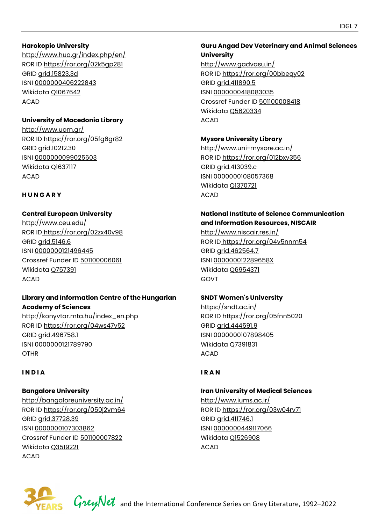#### **Harokopio University**

<http://www.hua.gr/index.php/en/> ROR ID<https://ror.org/02k5gp281> GRID [grid.15823.3d](https://grid.ac/institutes/grid.15823.3d) ISNI [0000000406222843](http://isni.org/isni/0000000406222843) Wikidata [Q1067642](https://www.wikidata.org/wiki/Q1067642) ACAD

#### **University of Macedonia Library**

<http://www.uom.gr/> ROR ID<https://ror.org/05fg6gr82> GRID [grid.10212.30](https://grid.ac/institutes/grid.10212.30)  ISNI [0000000099025603](http://isni.org/isni/0000000099025603) Wikidata [Q1637117](https://www.wikidata.org/wiki/Q1637117) ACAD

#### **H U N G A R Y**

#### **Central European University**

<http://www.ceu.edu/> ROR ID<https://ror.org/02zx40v98> GRID [grid.5146.6](https://grid.ac/institutes/grid.5146.6)  ISNI [0000000121496445](http://isni.org/isni/0000000121496445)  Crossref Funder ID [501100006061](https://api.crossref.org/funders/501100006061) Wikidata [Q757391](https://www.wikidata.org/wiki/Q757391) ACAD

#### **Library and Information Centre of the Hungarian Academy of Sciences**

http://konyvtar.mta.hu/index\_en.php ROR ID<https://ror.org/04ws47v52> GRID [grid.496758.1](https://grid.ac/institutes/grid.496758.1) ISNI [0000000121789790](http://isni.org/isni/0000000121789790) **OTHR** 

#### **I N D I A**

#### **Bangalore University**

<http://bangaloreuniversity.ac.in/> ROR ID<https://ror.org/050j2vm64> GRID [grid.37728.39](https://grid.ac/institutes/grid.37728.39) ISNI [0000000107303862](http://isni.org/isni/0000000107303862) Crossref Funder ID [501100007822](https://api.crossref.org/funders/501100007822) Wikidata [Q3519221](https://www.wikidata.org/wiki/Q3519221) ACAD

# **Guru Angad Dev Veterinary and Animal Sciences University**

<http://www.gadvasu.in/> ROR ID<https://ror.org/00bbeqy02> GRID [grid.411890.5](https://grid.ac/institutes/grid.411890.5) ISNI [0000000418083035](http://isni.org/isni/0000000418083035)  Crossref Funder ID [501100008418](https://api.crossref.org/funders/501100008418) Wikidata [Q5620334](https://www.wikidata.org/wiki/Q5620334) ACAD

#### **Mysore University Library**

<http://www.uni-mysore.ac.in/> ROR ID<https://ror.org/012bxv356> GRID [grid.413039.c](https://grid.ac/institutes/grid.413039.c) ISNI [0000000108057368](http://isni.org/isni/0000000108057368) Wikidata [Q1370721](https://www.wikidata.org/wiki/Q1370721)  ACAD

#### **National Institute of Science Communication and Information Resources, NISCAIR**

<http://www.niscair.res.in/> ROR ID<https://ror.org/04v5nnm54> GRID [grid.462564.7](https://grid.ac/institutes/grid.462564.7) ISNI [000000012289658X](http://isni.org/isni/000000012289658X) Wikidata [Q6954371](https://www.wikidata.org/wiki/Q6954371) GOVT

#### **SNDT Women's University**

<https://sndt.ac.in/> ROR ID<https://ror.org/05fnn5020> GRID [grid.444591.9](https://grid.ac/institutes/grid.444591.9) ISNI [0000000107898405](http://isni.org/isni/0000000107898405) Wikidata [Q7391831](https://www.wikidata.org/wiki/Q7391831) ACAD

#### **I R A N**

# **Iran University of Medical Sciences**

<http://www.iums.ac.ir/> ROR ID<https://ror.org/03w04rv71> GRID [grid.411746.1](https://grid.ac/institutes/grid.411746.1) ISNI [0000000449117066](http://isni.org/isni/0000000449117066)  Wikidata [Q1526908](https://www.wikidata.org/wiki/Q1526908) ACAD



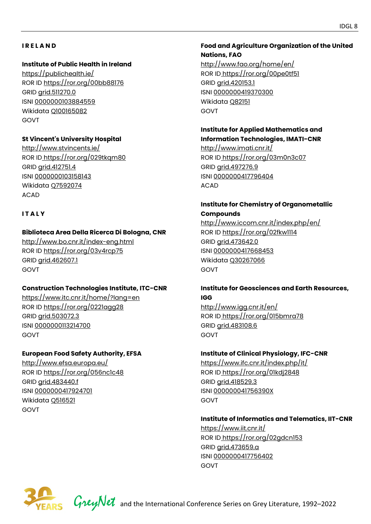#### **I R E L A N D**

#### **Institute of Public Health in Ireland**

<https://publichealth.ie/> ROR ID<https://ror.org/00bb88176> GRID [grid.511270.0](https://grid.ac/institutes/grid.511270.0)  ISNI [0000000103884559](http://isni.org/isni/0000000103884559)  Wikidata [Q100165082](https://www.wikidata.org/wiki/Q100165082)  GOVT

# **St Vincent['s University Hospital](http://www.ucd.ie/)**

<http://www.stvincents.ie/> ROR ID<https://ror.org/029tkqm80> GRID [grid.412751.4](https://grid.ac/institutes/grid.412751.4)  ISNI [0000000103158143](http://isni.org/isni/0000000103158143) Wikidata [Q7592074](https://www.wikidata.org/wiki/Q7592074) ACAD

# **I T A L Y**

# **Biblioteca Area Della Ricerca Di Bologna, CNR**

<http://www.bo.cnr.it/index-eng.html> ROR ID<https://ror.org/03v4rcp75> GRID [grid.462607.1](https://grid.ac/institutes/grid.462607.1) GOVT

#### **Construction Technologies Institute, ITC-CNR**

<https://www.itc.cnr.it/home/?lang=en> ROR ID<https://ror.org/0221agg28> GRID [grid.503072.3](https://grid.ac/institutes/grid.503072.3) ISNI [0000000113214700](http://isni.org/isni/0000000113214700) GOVT

#### **European Food Safety Authority, EFSA**

<http://www.efsa.europa.eu/> ROR ID<https://ror.org/056nc1c48> GRID [grid.483440.f](https://grid.ac/institutes/grid.483440.f)  ISNI [0000000417924701](http://isni.org/isni/0000000417924701) Wikidata [Q516521](https://www.wikidata.org/wiki/Q516521)  GOVT

# **Food and Agriculture Organization of the United Nations, FAO**

<http://www.fao.org/home/en/> ROR ID<https://ror.org/00pe0tf51> GRID [grid.420153.1](https://grid.ac/institutes/grid.420153.1) ISNI [0000000419370300](http://isni.org/isni/0000000419370300)  Wikidata [Q82151](https://www.wikidata.org/wiki/Q82151) GOVT

#### **Institute for Applied Mathematics and Information Technologies, IMATI-CNR**

<http://www.imati.cnr.it/> ROR ID<https://ror.org/03m0n3c07> GRID [grid.497276.9](https://grid.ac/institutes/grid.497276.9) ISNI [0000000417796404](http://isni.org/isni/0000000417796404)  ACAD

# **Institute for Chemistry of Organometallic Compounds**

<http://www.iccom.cnr.it/index.php/en/> ROR ID<https://ror.org/02fkw1114> GRID [grid.473642.0](https://grid.ac/institutes/grid.473642.0)  ISNI [0000000417668453](http://isni.org/isni/0000000417668453) Wikidata [Q30267066](https://www.wikidata.org/wiki/Q30267066) GOVT

#### **Institute for Geosciences and Earth Resources, IGG**

<http://www.igg.cnr.it/en/> ROR ID<https://ror.org/015bmra78> GRID [grid.483108.6](https://grid.ac/institutes/grid.483108.6) GOVT

#### **Institute of Clinical Physiology, IFC-CNR**

<https://www.ifc.cnr.it/index.php/it/> ROR ID<https://ror.org/01kdj2848> GRID [grid.418529.3](https://grid.ac/institutes/grid.418529.3) ISNI [000000041756390X](http://isni.org/isni/000000041756390X) GOVT

#### **Institute of Informatics and Telematics, IIT-CNR**

<https://www.iit.cnr.it/> ROR ID<https://ror.org/02gdcn153> GRID [grid.473659.a](https://grid.ac/institutes/grid.473659.a)  ISNI [0000000417756402](http://isni.org/isni/0000000417756402) GOVT

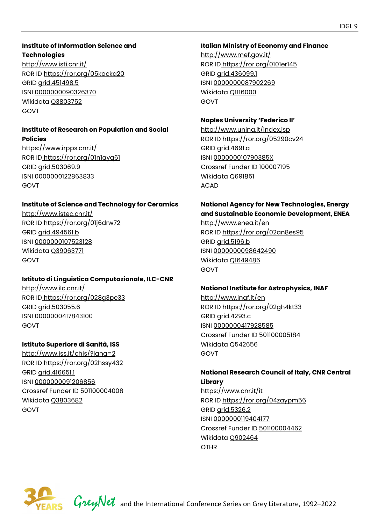# **Institute of Information Science and Technologies**

<http://www.isti.cnr.it/> ROR ID<https://ror.org/05kacka20> GRID [grid.451498.5](https://grid.ac/institutes/grid.451498.5) ISNI [0000000090326370](http://isni.org/isni/0000000090326370) Wikidata [Q3803752](https://www.wikidata.org/wiki/Q3803752) GOVT

#### **Institute of Research on Population and Social Policies**

<https://www.irpps.cnr.it/> ROR ID<https://ror.org/01n1ayq61> GRID [grid.503069.9](https://grid.ac/institutes/grid.503069.9)  ISNI [0000000122863833](http://isni.org/isni/0000000122863833) GOVT

# **Institute of Science and Technology for Ceramics**

<http://www.istec.cnr.it/> ROR ID<https://ror.org/01j6drw72> GRID [grid.494561.b](https://grid.ac/institutes/grid.494561.b)  ISNI [0000000107523128](http://isni.org/isni/0000000107523128)  Wikidata [Q39063771](https://www.wikidata.org/wiki/Q39063771) GOVT

# **Istituto di Linguistica Computazionale, ILC-CNR**

<http://www.ilc.cnr.it/> ROR ID<https://ror.org/028g3pe33> GRID [grid.503055.6](https://grid.ac/institutes/grid.503055.6)  ISNI [0000000417843100](http://isni.org/isni/0000000417843100) GOVT

# **Istituto Superiore di Sanità, ISS**

<http://www.iss.it/chis/?lang=2> ROR ID<https://ror.org/02hssy432> GRID [grid.416651.1](https://grid.ac/institutes/grid.416651.1) ISNI [0000000091206856](http://isni.org/isni/0000000091206856)  Crossref Funder ID [501100004008](https://api.crossref.org/funders/501100004008) Wikidata [Q3803682](https://www.wikidata.org/wiki/Q3803682) GOVT

# **Italian Ministry of Economy and Finance**

<http://www.mef.gov.it/> ROR ID<https://ror.org/0101er145> GRID [grid.436099.1](https://grid.ac/institutes/grid.436099.1) ISNI [0000000087902269](http://isni.org/isni/0000000087902269)  Wikidata [Q1116000](https://www.wikidata.org/wiki/Q1116000) GOVT

# **Naples University 'Federico II'**

<http://www.unina.it/index.jsp> ROR ID<https://ror.org/05290cv24> GRID [grid.4691.a](https://grid.ac/institutes/grid.4691.a) ISNI [000000010790385X](http://isni.org/isni/000000010790385X) Crossref Funder ID [100007195](https://api.crossref.org/funders/100007195) Wikidata [Q691851](https://www.wikidata.org/wiki/Q691851) ACAD

# **National Agency for New Technologies, Energy and Sustainable Economic Development, ENEA**

<http://www.enea.it/en> ROR ID<https://ror.org/02an8es95> GRID [grid.5196.b](https://grid.ac/institutes/grid.5196.b) ISNI [0000000098642490](http://isni.org/isni/0000000098642490) Wikidata [Q1649486](https://www.wikidata.org/wiki/Q1649486)  GOVT

# **National Institute for Astrophysics, INAF**

<http://www.inaf.it/en> ROR ID<https://ror.org/02gh4kt33> GRID [grid.4293.c](https://grid.ac/institutes/grid.4293.c)  ISNI [0000000417928585](http://isni.org/isni/0000000417928585) Crossref Funder ID [501100005184](https://api.crossref.org/funders/501100005184) Wikidata [Q542656](https://www.wikidata.org/wiki/Q542656)  GOVT

#### **National Research Council of Italy, CNR Central Library**

<https://www.cnr.it/it> ROR ID<https://ror.org/04zaypm56> GRID [grid.5326.2](https://grid.ac/institutes/grid.5326.2) ISNI [0000000119404177](http://isni.org/isni/0000000119404177) Crossref Funder ID [501100004462](https://api.crossref.org/funders/501100004462)  Wikidata [Q902464](https://www.wikidata.org/wiki/Q902464)  OTHR

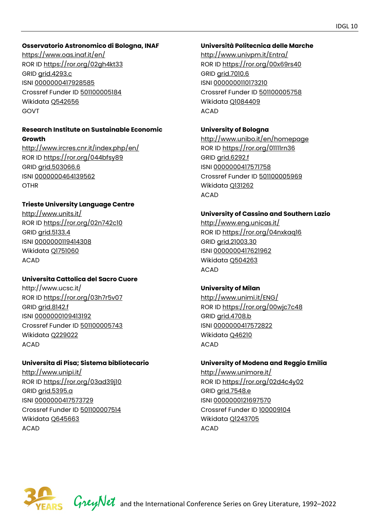#### **Osservatorio Astronomico di Bologna, INAF**

<https://www.oas.inaf.it/en/> ROR ID<https://ror.org/02gh4kt33> GRID [grid.4293.c](https://grid.ac/institutes/grid.4293.c)  ISNI [0000000417928585](http://isni.org/isni/0000000417928585) Crossref Funder ID [501100005184](https://api.crossref.org/funders/501100005184) Wikidata [Q542656](https://www.wikidata.org/wiki/Q542656)  GOVT

#### **Research Institute on Sustainable Economic Growth**

<http://www.ircres.cnr.it/index.php/en/> ROR ID<https://ror.org/044bfsy89> GRID [grid.503066.6](https://grid.ac/institutes/grid.503066.6) ISNI [0000000464139562](http://isni.org/isni/0000000464139562) OTHR

#### **Trieste University Language Centre**

<http://www.units.it/> ROR ID<https://ror.org/02n742c10> GRID [grid.5133.4](https://grid.ac/institutes/grid.5133.4)  ISNI [0000000119414308](http://isni.org/isni/0000000119414308)  Wikidata [Q1751060](https://www.wikidata.org/wiki/Q1751060)  ACAD

# **Universita Cattolica del Sacro Cuore**

http://www.ucsc.it/ ROR ID<https://ror.org/03h7r5v07> GRID [grid.8142.f](https://grid.ac/institutes/grid.8142.f) ISNI [0000000109413192](http://isni.org/isni/0000000109413192) Crossref Funder ID [501100005743](https://api.crossref.org/funders/501100005743)  Wikidata [Q229022](https://www.wikidata.org/wiki/Q229022) ACAD

#### **Universita di Pisa; Sistema bibliotecario**

<http://www.unipi.it/> ROR ID<https://ror.org/03ad39j10> GRID [grid.5395.a](https://grid.ac/institutes/grid.5395.a)  ISNI [0000000417573729](http://isni.org/isni/0000000417573729)  Crossref Funder ID [501100007514](https://api.crossref.org/funders/501100007514) Wikidata [Q645663](https://www.wikidata.org/wiki/Q645663) ACAD

#### **Università Politecnica delle Marche**

<http://www.univpm.it/Entra/> ROR ID<https://ror.org/00x69rs40> GRID [grid.7010.6](https://grid.ac/institutes/grid.7010.6)  ISNI [0000000110173210](http://isni.org/isni/0000000110173210) Crossref Funder ID [501100005758](https://api.crossref.org/funders/501100005758) Wikidata [Q1084409](https://www.wikidata.org/wiki/Q1084409)  ACAD

# **University of Bologna**

<http://www.unibo.it/en/homepage> ROR ID<https://ror.org/01111rn36> GRID [grid.6292.f](https://grid.ac/institutes/grid.6292.f)  ISNI [0000000417571758](http://isni.org/isni/0000000417571758)  Crossref Funder ID [501100005969](https://api.crossref.org/funders/501100005969) Wikidata [Q131262](https://www.wikidata.org/wiki/Q131262)  ACAD

#### **University of Cassino and Southern Lazio**

<http://www.eng.unicas.it/> ROR ID<https://ror.org/04nxkaq16> GRID [grid.21003.30](https://grid.ac/institutes/grid.21003.30)  ISNI [0000000417621962](http://isni.org/isni/0000000417621962) Wikidata [Q504263](https://www.wikidata.org/wiki/Q504263) ACAD

# **University of Milan**

<http://www.unimi.it/ENG/> ROR ID<https://ror.org/00wjc7c48> GRID [grid.4708.b](https://grid.ac/institutes/grid.4708.b) ISNI [0000000417572822](http://isni.org/isni/0000000417572822) Wikidata [Q46210](https://www.wikidata.org/wiki/Q46210)  ACAD

#### **University of Modena and Reggio Emilia**

<http://www.unimore.it/> ROR ID<https://ror.org/02d4c4y02> GRID grid.7548.e ISNI [0000000121697570](http://isni.org/isni/0000000121697570) Crossref Funder ID [100009104](https://api.crossref.org/funders/100009104) Wikidata [Q1243705](https://www.wikidata.org/wiki/Q1243705)  ACAD

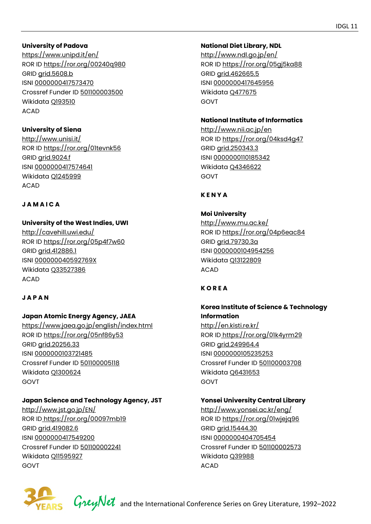#### **University of Padova**

<https://www.unipd.it/en/> ROR ID<https://ror.org/00240q980> GRID [grid.5608.b](https://grid.ac/institutes/grid.5608.b) ISNI [0000000417573470](http://isni.org/isni/0000000417573470) Crossref Funder ID [501100003500](https://api.crossref.org/funders/501100003500)  Wikidata [Q193510](https://www.wikidata.org/wiki/Q193510)  ACAD

# **University of Siena**

<http://www.unisi.it/> ROR ID<https://ror.org/01tevnk56> GRID [grid.9024.f](https://grid.ac/institutes/grid.9024.f) ISNI [0000000417574641](http://isni.org/isni/0000000417574641) Wikidata [Q1245999](https://www.wikidata.org/wiki/Q1245999) ACAD

#### **J A M A I C A**

# **University of the West Indies, UWI**

<http://cavehill.uwi.edu/> ROR ID<https://ror.org/05p4f7w60> GRID [grid.412886.1](https://grid.ac/institutes/grid.412886.1)  ISNI [000000040592769X](http://isni.org/isni/000000040592769X) Wikidata [Q33527386](https://www.wikidata.org/wiki/Q33527386) ACAD

# **J A P A N**

# **Japan Atomic Energy Agency, JAEA**

<https://www.jaea.go.jp/english/index.html> ROR ID<https://ror.org/05nf86y53> GRID [grid.20256.33](https://grid.ac/institutes/grid.20256.33) ISNI [0000000103721485](http://isni.org/isni/0000000103721485) Crossref Funder ID [501100005118](https://api.crossref.org/funders/501100005118)  Wikidata [Q1300624](https://www.wikidata.org/wiki/Q1300624)  GOVT

# **Japan Science and Technology Agency, JST**

<http://www.jst.go.jp/EN/> ROR ID<https://ror.org/00097mb19> GRID [grid.419082.6](https://grid.ac/institutes/grid.419082.6)  ISNI [0000000417549200](http://isni.org/isni/0000000417549200) Crossref Funder ID [501100002241](https://api.crossref.org/funders/501100002241) Wikidata [Q11595927](https://www.wikidata.org/wiki/Q11595927) GOVT

# **National Diet Library, NDL**

<http://www.ndl.go.jp/en/> ROR ID<https://ror.org/05gj5ka88> GRID [grid.462665.5](https://grid.ac/institutes/grid.462665.5) ISNI [0000000417645956](http://isni.org/isni/0000000417645956)  Wikidata [Q477675](https://www.wikidata.org/wiki/Q477675) GOVT

#### **National Institute of Informatics**

<http://www.nii.ac.jp/en> ROR ID<https://ror.org/04ksd4g47> GRID [grid.250343.3](https://grid.ac/institutes/grid.250343.3)  ISNI [0000000110185342](http://isni.org/isni/0000000110185342) Wikidata [Q4346622](https://www.wikidata.org/wiki/Q4346622) GOVT

# **K E N Y A**

# **Moi University**  <http://www.mu.ac.ke/> ROR ID<https://ror.org/04p6eac84> GRID [grid.79730.3a](https://grid.ac/institutes/grid.79730.3a) ISNI [0000000104954256](http://isni.org/isni/0000000104954256)  Wikidata [Q13122809](https://www.wikidata.org/wiki/Q13122809) ACAD

# **K O R E A**

# **Korea Institute of Science & Technology Information**

<http://en.kisti.re.kr/> ROR ID<https://ror.org/01k4yrm29> GRID [grid.249964.4](https://grid.ac/institutes/grid.249964.4) ISNI [0000000105235253](http://isni.org/isni/0000000105235253) Crossref Funder ID [501100003708](https://api.crossref.org/funders/501100003708) Wikidata [Q6431653](https://www.wikidata.org/wiki/Q6431653)  GOVT

# **Yonsei University Central Library**

<http://www.yonsei.ac.kr/eng/> ROR ID<https://ror.org/01wjejq96> GRID [grid.15444.30](https://grid.ac/institutes/grid.15444.30)  ISNI [0000000404705454](http://isni.org/isni/0000000404705454)  Crossref Funder ID [501100002573](https://api.crossref.org/funders/501100002573) Wikidata [Q39988](https://www.wikidata.org/wiki/Q39988)  ACAD



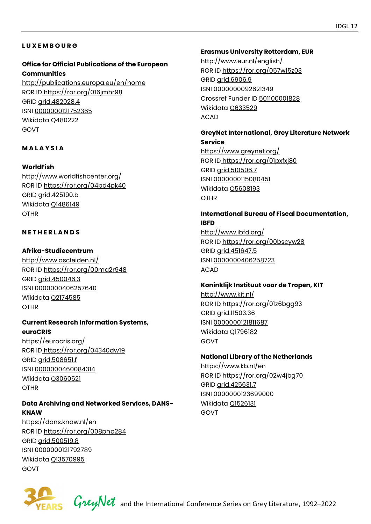#### **L U X E M B O U R G**

# **Office for Official Publications of the European Communities**

<http://publications.europa.eu/en/home> ROR ID<https://ror.org/016jmhr98> GRID [grid.482028.4](https://grid.ac/institutes/grid.482028.4) ISNI [0000000121752365](http://isni.org/isni/0000000121752365)  Wikidata [Q480222](https://www.wikidata.org/wiki/Q480222)  GOVT

#### **M A L A Y S I A**

#### **WorldFish**

<http://www.worldfishcenter.org/> ROR ID<https://ror.org/04bd4pk40> GRID [grid.425190.b](https://grid.ac/institutes/grid.425190.b) Wikidata [Q1486149](https://www.wikidata.org/wiki/Q1486149)  **OTHR** 

#### **N E T H E R L A N D S**

#### **Afrika-Studiecentrum**

<http://www.ascleiden.nl/> ROR ID<https://ror.org/00ma2r948> GRID [grid.450046.3](https://grid.ac/institutes/grid.450046.3)  ISNI [0000000406257640](http://isni.org/isni/0000000406257640) Wikidata [Q2174585](https://www.wikidata.org/wiki/Q2174585) OTHR

#### **Current Research Information Systems, euroCRIS**

<https://eurocris.org/> ROR ID<https://ror.org/04340dw19> GRID [grid.508651.f](https://grid.ac/institutes/grid.508651.f) ISNI [0000000460084314](http://isni.org/isni/0000000460084314)  Wikidata [Q3060521](https://www.wikidata.org/wiki/Q3060521)  **OTHR** 

#### **Data Archiving and Networked Services, DANS-KNAW**

<https://dans.knaw.nl/en> ROR ID<https://ror.org/008pnp284> GRID [grid.500519.8](https://grid.ac/institutes/grid.500519.8) ISNI [0000000121792789](http://isni.org/isni/0000000121792789) Wikidata [Q13570995](https://www.wikidata.org/wiki/Q13570995)  GOVT

#### **Erasmus University Rotterdam, EUR**

<http://www.eur.nl/english/> ROR ID<https://ror.org/057w15z03> GRID [grid.6906.9](https://grid.ac/institutes/grid.6906.9) ISNI [0000000092621349](http://isni.org/isni/0000000092621349)  Crossref Funder ID [501100001828](https://api.crossref.org/funders/501100001828)  Wikidata [Q633529](https://www.wikidata.org/wiki/Q633529) ACAD

#### **GreyNet International, Grey Literature Network Service**

<https://www.greynet.org/> ROR ID<https://ror.org/01pxfxj80> GRID [grid.510506.7](https://grid.ac/institutes/grid.510506.7) ISNI [0000000115080451](http://isni.org/isni/0000000115080451) Wikidata [Q5608193](https://www.wikidata.org/wiki/Q5608193) OTHR

#### **International Bureau of Fiscal Documentation, IBFD**

<http://www.ibfd.org/> ROR ID<https://ror.org/00bscyw28> GRID [grid.451647.5](https://grid.ac/institutes/grid.451647.5) ISNI [0000000406258723](http://isni.org/isni/0000000406258723) ACAD

# **Koninklijk Instituut voor de Tropen, KIT**

<http://www.kit.nl/> ROR ID<https://ror.org/01z6bgg93> GRID [grid.11503.36](https://grid.ac/institutes/grid.11503.36) ISNI [0000000121811687](http://isni.org/isni/0000000121811687)  Wikidata [Q1796182](https://www.wikidata.org/wiki/Q1796182) GOVT

#### **National Library of the Netherlands**

<https://www.kb.nl/en> ROR ID<https://ror.org/02w4jbg70> GRID [grid.425631.7](https://grid.ac/institutes/grid.425631.7) ISNI [0000000123699000](http://isni.org/isni/0000000123699000) Wikidata [Q1526131](https://www.wikidata.org/wiki/Q1526131)  GOVT



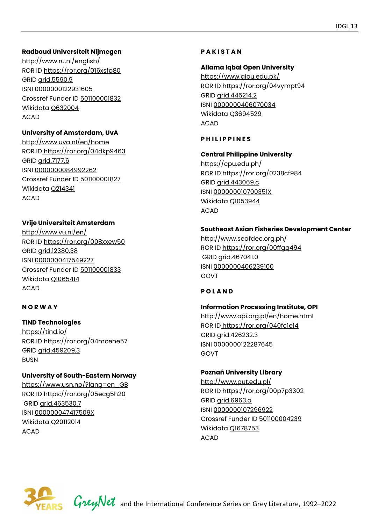# **Radboud Universiteit Nijmegen**

<http://www.ru.nl/english/> ROR ID<https://ror.org/016xsfp80> GRID [grid.5590.9](https://grid.ac/institutes/grid.5590.9)  ISNI [0000000122931605](http://isni.org/isni/0000000122931605)  Crossref Funder ID [501100001832](https://api.crossref.org/funders/501100001832) Wikidata [Q632004](https://www.wikidata.org/wiki/Q632004)  ACAD

#### **University of Amsterdam, UvA**

<http://www.uva.nl/en/home> ROR ID<https://ror.org/04dkp9463> GRID [grid.7177.6](https://grid.ac/institutes/grid.7177.6) ISNI [0000000084992262](http://isni.org/isni/0000000084992262)  Crossref Funder ID [501100001827](https://api.crossref.org/funders/501100001827)  Wikidata [Q214341](https://www.wikidata.org/wiki/Q214341) ACAD

#### **Vrije Universiteit Amsterdam**

<http://www.vu.nl/en/> ROR ID<https://ror.org/008xxew50> GRID [grid.12380.38](https://grid.ac/institutes/grid.12380.38) ISNI [0000000417549227](http://isni.org/isni/0000000417549227) Crossref Funder ID [501100001833](https://api.crossref.org/funders/501100001833) Wikidata [Q1065414](https://www.wikidata.org/wiki/Q1065414) ACAD

#### **N O R W A Y**

# **TIND Technologies**

<https://tind.io/> ROR ID<https://ror.org/04mcehe57> GRID [grid.459209.3](https://grid.ac/institutes/grid.459209.3) **BUSN** 

#### **University of South-Eastern Norway**

[https://www.usn.no/?lang=en\\_GB](https://www.usn.no/?lang=en_GB)  ROR ID<https://ror.org/05ecg5h20> GRID [grid.463530.7](https://grid.ac/institutes/grid.463530.7) ISNI [000000047417509X](http://isni.org/isni/000000047417509X) Wikidata [Q20112014](https://www.wikidata.org/wiki/Q20112014)  ACAD

#### **P A K I S T A N**

#### **Allama Iqbal Open University**

<https://www.aiou.edu.pk/> ROR ID<https://ror.org/04vympt94> GRID [grid.445214.2](https://grid.ac/institutes/grid.445214.2) ISNI [0000000406070034](http://isni.org/isni/0000000406070034) Wikidata [Q3694529](https://www.wikidata.org/wiki/Q3694529)  ACAD

#### **P H I L I P P I N E S**

# **Central Philippine University**

https://cpu.edu.ph/ ROR ID<https://ror.org/0238cf984> GRID [grid.443069.c](https://grid.ac/institutes/grid.443069.c)  ISNI [000000010700351X](http://isni.org/isni/000000010700351X)  Wikidata [Q1053944](https://www.wikidata.org/wiki/Q1053944) ACAD

#### **Southeast Asian Fisheries Development Center**

http://www.seafdec.org.ph/ ROR ID<https://ror.org/00ffgq494> GRID [grid.467041.0](https://grid.ac/institutes/grid.467041.0)  ISNI [0000000406239100](http://isni.org/isni/0000000406239100) GOVT

#### **P O L A N D**

#### **Information Processing Institute, OPI**

<http://www.opi.org.pl/en/home.html> ROR ID<https://ror.org/040fc1e14> GRID [grid.426232.3](https://grid.ac/institutes/grid.426232.3) ISNI [0000000122287645](http://isni.org/isni/0000000122287645)  GOVT

#### **Poznań University Library**

<http://www.put.edu.pl/> ROR ID<https://ror.org/00p7p3302> GRID [grid.6963.a](https://grid.ac/institutes/grid.6963.a) ISNI [0000000107296922](http://isni.org/isni/0000000107296922)  Crossref Funder ID [501100004239](https://api.crossref.org/funders/501100004239) Wikidata [Q1678753](https://www.wikidata.org/wiki/Q1678753)  ACAD

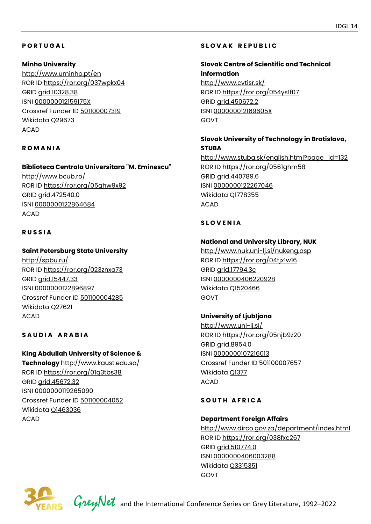# **P O R T U G A L**

#### **Minho University**

<http://www.uminho.pt/en> ROR ID<https://ror.org/037wpkx04> GRID [grid.10328.38](https://grid.ac/institutes/grid.10328.38) ISNI [000000012159175X](http://isni.org/isni/000000012159175X)  Crossref Funder ID [501100007319](https://api.crossref.org/funders/501100007319)  Wikidata [Q29673](https://www.wikidata.org/wiki/Q29673) ACAD

#### **R O M A N I A**

#### **Biblioteca Centrala Universitara "M. Eminescu"**

<http://www.bcub.ro/> ROR ID<https://ror.org/05qhw9x92> GRID [grid.472540.0](https://grid.ac/institutes/grid.472540.0) ISNI [0000000122864684](http://isni.org/isni/0000000122864684) ACAD

#### **R U S S I A**

#### **Saint Petersburg State University**

<http://spbu.ru/> ROR ID<https://ror.org/023znxa73> GRID [grid.15447.33](https://grid.ac/institutes/grid.15447.33)  ISNI [0000000122896897](http://isni.org/isni/0000000122896897) Crossref Funder ID [501100004285](https://api.crossref.org/funders/501100004285)  Wikidata [Q27621](https://www.wikidata.org/wiki/Q27621) ACAD

#### **SAUDIA ARABIA**

# **King Abdullah University of Science & Technology** <http://www.kaust.edu.sa/> ROR ID<https://ror.org/01q3tbs38> GRID [grid.45672.32](https://grid.ac/institutes/grid.45672.32) ISNI [0000000119265090](http://isni.org/isni/0000000119265090)  Crossref Funder ID [501100004052](https://api.crossref.org/funders/501100004052) Wikidata [Q1463036](https://www.wikidata.org/wiki/Q1463036)  ACAD

# **S L O V A K R E P U B L I C**

# **Slovak Centre of Scientific and Technical information**  <http://www.cvtisr.sk/>

ROR ID<https://ror.org/054ys1f07> GRID [grid.450672.2](https://grid.ac/institutes/grid.450672.2) ISNI [000000012169605X](http://isni.org/isni/000000012169605X)  GOVT

# **Slovak University of Technology in Bratislava, STUBA**

[http://www.stuba.sk/english.html?page\\_id=132](http://www.stuba.sk/english.html?page_id=132) ROR ID<https://ror.org/0561ghm58> GRID [grid.440789.6](https://grid.ac/institutes/grid.440789.6)  ISNI [0000000122267046](http://isni.org/isni/0000000122267046) Wikidata [Q1778355](https://www.wikidata.org/wiki/Q1778355)  ACAD

## **S L O V E N I A**

#### **National and University Library, NUK**

<http://www.nuk.uni-lj.si/nukeng.asp> ROR ID<https://ror.org/04tjx1w16> GRID [grid.17794.3c](https://grid.ac/institutes/grid.17794.3c) ISNI [0000000406220928](http://isni.org/isni/0000000406220928)  Wikidata [Q1520466](https://www.wikidata.org/wiki/Q1520466) GOVT

#### **University of Ljubljana**

<http://www.uni-lj.si/> ROR ID<https://ror.org/05njb9z20> GRID [grid.8954.0](https://grid.ac/institutes/grid.8954.0)  ISNI [0000000107216013](http://isni.org/isni/0000000107216013) Crossref Funder ID [501100007657](https://api.crossref.org/funders/501100007657) Wikidata [Q1377](https://www.wikidata.org/wiki/Q1377)  ACAD

#### SOUTH AFRICA

#### **Department Foreign Affairs**

<http://www.dirco.gov.za/department/index.html> ROR ID<https://ror.org/038fxc267> GRID [grid.510774.0](https://grid.ac/institutes/grid.510774.0)  ISNI [0000000406003288](http://isni.org/isni/0000000406003288)  Wikidata [Q3315351](https://www.wikidata.org/wiki/Q3315351) GOVT

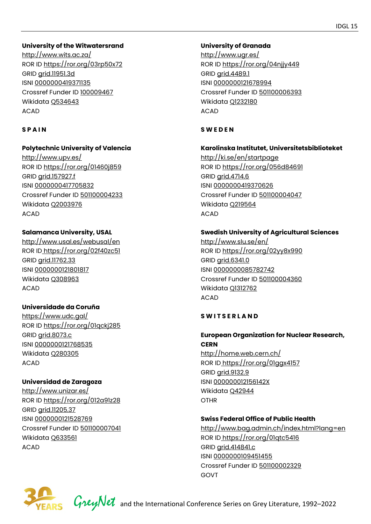#### **University of the Witwatersrand**

<http://www.wits.ac.za/> ROR ID<https://ror.org/03rp50x72> GRID [grid.11951.3d](https://grid.ac/institutes/grid.11951.3d) ISNI [0000000419371135](http://isni.org/isni/0000000419371135) Crossref Funder ID [100009467](https://api.crossref.org/funders/100009467)  Wikidata [Q534643](https://www.wikidata.org/wiki/Q534643)  ACAD

#### **S P A I N**

#### **Polytechnic University of Valencia**

<http://www.upv.es/> ROR ID<https://ror.org/01460j859> GRID [grid.157927.f](https://grid.ac/institutes/grid.157927.f) ISNI [0000000417705832](http://isni.org/isni/0000000417705832)  Crossref Funder ID [501100004233](https://api.crossref.org/funders/501100004233)  Wikidata [Q2003976](https://www.wikidata.org/wiki/Q2003976) ACAD

#### **Salamanca University, USAL**

<http://www.usal.es/webusal/en> ROR ID<https://ror.org/02f40zc51> GRID [grid.11762.33](https://grid.ac/institutes/grid.11762.33) ISNI [0000000121801817](http://isni.org/isni/0000000121801817)  Wikidata [Q308963](https://www.wikidata.org/wiki/Q308963)  ACAD

#### **Universidade da Coruña**

<https://www.udc.gal/> ROR ID<https://ror.org/01qckj285> GRID [grid.8073.c](https://grid.ac/institutes/grid.8073.c) ISNI [0000000121768535](http://isni.org/isni/0000000121768535) Wikidata [Q280305](https://www.wikidata.org/wiki/Q280305) ACAD

#### **Universidad de Zaragoza**

<http://www.unizar.es/> ROR ID<https://ror.org/012a91z28> GRID [grid.11205.37](https://grid.ac/institutes/grid.11205.37) ISNI [0000000121528769](http://isni.org/isni/0000000121528769) Crossref Funder ID [501100007041](https://api.crossref.org/funders/501100007041) Wikidata [Q633561](https://www.wikidata.org/wiki/Q633561)  ACAD

#### **University of Granada**

<http://www.ugr.es/> ROR ID<https://ror.org/04njjy449> GRID [grid.4489.1](https://grid.ac/institutes/grid.4489.1)  ISNI [0000000121678994](http://isni.org/isni/0000000121678994) Crossref Funder ID [501100006393](https://api.crossref.org/funders/501100006393) Wikidata [Q1232180](https://www.wikidata.org/wiki/Q1232180) ACAD

#### **S W E D E N**

#### **Karolinska Institutet, Universitetsbiblioteket**

<http://ki.se/en/startpage> ROR ID<https://ror.org/056d84691> GRID [grid.4714.6](https://grid.ac/institutes/grid.4714.6)  ISNI [0000000419370626](http://isni.org/isni/0000000419370626)  Crossref Funder ID [501100004047](https://api.crossref.org/funders/501100004047) Wikidata [Q219564](https://www.wikidata.org/wiki/Q219564)  ACAD

#### **Swedish University of Agricultural Sciences**

<http://www.slu.se/en/> ROR ID<https://ror.org/02yy8x990> GRID [grid.6341.0](https://grid.ac/institutes/grid.6341.0) ISNI [0000000085782742](http://isni.org/isni/0000000085782742)  Crossref Funder ID [501100004360](https://api.crossref.org/funders/501100004360)  Wikidata [Q1312762](https://www.wikidata.org/wiki/Q1312762) ACAD

#### **S W I T S E R L A N D**

# **European Organization for Nuclear Research, CERN**

<http://home.web.cern.ch/> ROR ID<https://ror.org/01ggx4157> GRID [grid.9132.9](https://grid.ac/institutes/grid.9132.9)  ISNI [000000012156142X](http://isni.org/isni/000000012156142X) Wikidata [Q42944](https://www.wikidata.org/wiki/Q42944)  OTHR

#### **Swiss Federal Office of Public Health**

<http://www.bag.admin.ch/index.html?lang=en> ROR ID<https://ror.org/01qtc5416> GRID [grid.414841.c](https://grid.ac/institutes/grid.414841.c) ISNI [0000000109451455](http://isni.org/isni/0000000109451455) Crossref Funder ID [501100002329](https://api.crossref.org/funders/501100002329)  GOVT

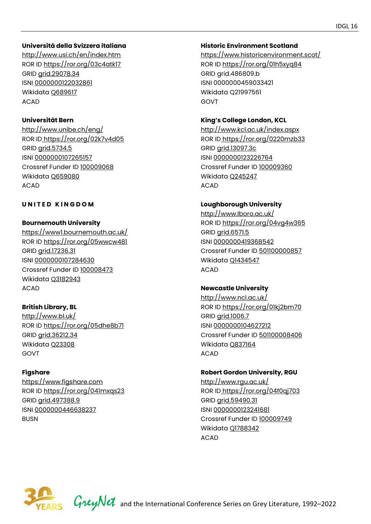#### **Università della Svizzera italiana**

<http://www.usi.ch/en/index.htm> ROR ID<https://ror.org/03c4atk17> GRID [grid.29078.34](https://grid.ac/institutes/grid.29078.34)  ISNI [0000000122032861](http://isni.org/isni/0000000122032861) Wikidata [Q689617](https://www.wikidata.org/wiki/Q689617)  ACAD

#### **Universität Bern**

<http://www.unibe.ch/eng/> ROR ID<https://ror.org/02k7v4d05> GRID [grid.5734.5](https://grid.ac/institutes/grid.5734.5) ISNI [0000000107265157](http://isni.org/isni/0000000107265157) Crossref Funder ID [100009068](https://api.crossref.org/funders/100009068) Wikidata [Q659080](https://www.wikidata.org/wiki/Q659080) ACAD

#### **UNITED KINGDOM**

#### **Bournemouth University**

<https://www1.bournemouth.ac.uk/> ROR ID<https://ror.org/05wwcw481> GRID [grid.17236.31](https://grid.ac/institutes/grid.17236.31) ISNI [0000000107284630](http://isni.org/isni/0000000107284630)  Crossref Funder ID [100008473](https://api.crossref.org/funders/100008473) Wikidata [Q3182943](https://www.wikidata.org/wiki/Q3182943) ACAD

# **British Library, BL**

<http://www.bl.uk/> ROR ID<https://ror.org/05dhe8b71> GRID [grid.36212.34](https://grid.ac/institutes/grid.36212.34) Wikidata [Q23308](https://www.wikidata.org/wiki/Q23308)  GOVT

#### **Figshare**

[https://www.figshare.com](https://www.figshare.com/) ROR ID<https://ror.org/041mxqs23> GRID [grid.497388.9](https://grid.ac/institutes/grid.497388.9) ISNI [0000000446638237](http://isni.org/isni/0000000446638237) BUSN

#### **Historic Environment Scotland**

<https://www.historicenvironment.scot/> ROR ID<https://ror.org/01h5xyq84> GRID grid.486809.b ISNI 0000000459033421 Wikidata Q21997561 GOVT

#### **King's College London, KCL**

<http://www.kcl.ac.uk/index.aspx> ROR ID<https://ror.org/0220mzb33> GRID [grid.13097.3c](https://grid.ac/institutes/grid.13097.3c) ISNI [0000000123226764](http://isni.org/isni/0000000123226764)  Crossref Funder ID [100009360](https://api.crossref.org/funders/100009360) Wikidata [Q245247](https://www.wikidata.org/wiki/Q245247) ACAD

#### **Loughborough University**

<http://www.lboro.ac.uk/> ROR ID<https://ror.org/04vg4w365> GRID [grid.6571.5](https://grid.ac/institutes/grid.6571.5)  ISNI [0000000419368542](http://isni.org/isni/0000000419368542) Crossref Funder ID [501100000857](https://api.crossref.org/funders/501100000857) Wikidata [Q1434547](https://www.wikidata.org/wiki/Q1434547) ACAD

#### **Newcastle University**

<http://www.ncl.ac.uk/> ROR ID<https://ror.org/01kj2bm70> GRID [grid.1006.7](https://grid.ac/institutes/grid.1006.7)  ISNI [0000000104627212](http://isni.org/isni/0000000104627212)  Crossref Funder ID [501100008406](https://api.crossref.org/funders/501100008406) Wikidata [Q837164](https://www.wikidata.org/wiki/Q837164) ACAD

#### **Robert Gordon University, RGU**

<http://www.rgu.ac.uk/> ROR ID<https://ror.org/04f0qj703> GRID [grid.59490.31](https://grid.ac/institutes/grid.59490.31)  ISNI [0000000123241681](http://isni.org/isni/0000000123241681)  Crossref Funder ID [100009749](https://api.crossref.org/funders/100009749)  Wikidata [Q1788342](https://www.wikidata.org/wiki/Q1788342)  ACAD

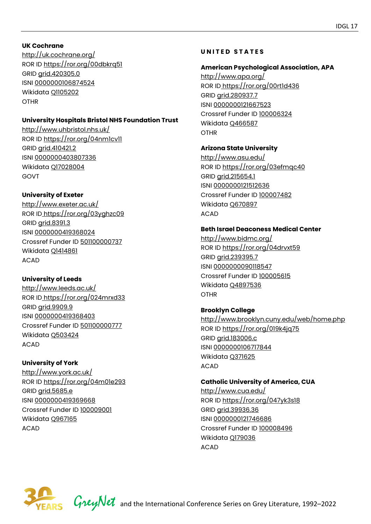# **UK Cochrane**

http://uk.cochrane.org/ ROR ID<https://ror.org/00dbkrq51> GRID [grid.420305.0](https://grid.ac/institutes/grid.420305.0) ISNI [0000000106874524](http://isni.org/isni/0000000106874524) Wikidata [Q1105202](https://www.wikidata.org/wiki/Q1105202) **OTHR** 

# **University Hospitals Bristol NHS Foundation Trust**

<http://www.uhbristol.nhs.uk/> ROR ID<https://ror.org/04nm1cv11> GRID [grid.410421.2](https://grid.ac/institutes/grid.410421.2) ISNI [0000000403807336](http://isni.org/isni/0000000403807336) Wikidata [Q17028004](https://www.wikidata.org/wiki/Q17028004)  GOVT

# **University of Exeter**

<http://www.exeter.ac.uk/> ROR ID<https://ror.org/03yghzc09> GRID [grid.8391.3](https://grid.ac/institutes/grid.8391.3)  ISNI [0000000419368024](http://isni.org/isni/0000000419368024) Crossref Funder ID [501100000737](https://api.crossref.org/funders/501100000737) Wikidata [Q1414861](https://www.wikidata.org/wiki/Q1414861) ACAD

# **University of Leeds**

<http://www.leeds.ac.uk/> ROR ID<https://ror.org/024mrxd33> GRID [grid.9909.9](https://grid.ac/institutes/grid.9909.9)  ISNI [0000000419368403](http://isni.org/isni/0000000419368403)  Crossref Funder ID [501100000777](https://api.crossref.org/funders/501100000777)  Wikidata [Q503424](https://www.wikidata.org/wiki/Q503424) ACAD

# **University of York**

<http://www.york.ac.uk/> ROR ID<https://ror.org/04m01e293> GRID [grid.5685.e](https://grid.ac/institutes/grid.5685.e)  ISNI [0000000419369668](http://isni.org/isni/0000000419369668) Crossref Funder ID [100009001](https://api.crossref.org/funders/100009001) Wikidata [Q967165](https://www.wikidata.org/wiki/Q967165) ACAD

# **U N I T E D S T A T E S**

# **American Psychological Association, APA**

<http://www.apa.org/> ROR ID<https://ror.org/00rt1d436> GRID [grid.280937.7](https://grid.ac/institutes/grid.280937.7)  ISNI [0000000121667523](http://isni.org/isni/0000000121667523) Crossref Funder ID [100006324](https://api.crossref.org/funders/100006324)  Wikidata [Q466587](https://www.wikidata.org/wiki/Q466587)  OTHR

# **Arizona State University**

<http://www.asu.edu/> ROR ID<https://ror.org/03efmqc40> GRID [grid.215654.1](https://grid.ac/institutes/grid.215654.1)  ISNI [0000000121512636](http://isni.org/isni/0000000121512636)  Crossref Funder ID [100007482](https://api.crossref.org/funders/100007482) Wikidata [Q670897](https://www.wikidata.org/wiki/Q670897)  ACAD

# **Beth Israel Deaconess Medical Center**

<http://www.bidmc.org/> ROR ID<https://ror.org/04drvxt59> GRID [grid.239395.7](https://grid.ac/institutes/grid.239395.7) ISNI [0000000090118547](http://isni.org/isni/0000000090118547) Crossref Funder ID [100005615](https://api.crossref.org/funders/100005615) Wikidata [Q4897536](https://www.wikidata.org/wiki/Q4897536) OTHR

# **Brooklyn College**

<http://www.brooklyn.cuny.edu/web/home.php> ROR ID<https://ror.org/019k4jq75> GRID [grid.183006.c](https://grid.ac/institutes/grid.183006.c)  ISNI [0000000106717844](http://isni.org/isni/0000000106717844)  Wikidata [Q371625](https://www.wikidata.org/wiki/Q371625)  ACAD

# **Catholic University of America, CUA**

<http://www.cua.edu/> ROR ID<https://ror.org/047yk3s18> GRID [grid.39936.36](https://grid.ac/institutes/grid.39936.36) ISNI [0000000121746686](http://isni.org/isni/0000000121746686) Crossref Funder ID [100008496](https://api.crossref.org/funders/100008496) Wikidata [Q179036](https://www.wikidata.org/wiki/Q179036) ACAD

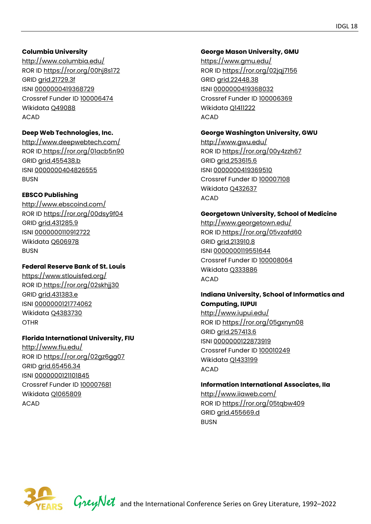#### **Columbia University**

<http://www.columbia.edu/> ROR ID<https://ror.org/00hj8s172> GRID [grid.21729.3f](https://grid.ac/institutes/grid.21729.3f)  ISNI [0000000419368729](http://isni.org/isni/0000000419368729)  Crossref Funder ID [100006474](https://api.crossref.org/funders/100006474)  Wikidata [Q49088](https://www.wikidata.org/wiki/Q49088) ACAD

#### **Deep Web Technologies, Inc.**

<http://www.deepwebtech.com/> ROR ID<https://ror.org/01acb5n90> GRID [grid.455438.b](https://grid.ac/institutes/grid.455438.b) ISNI [0000000404826555](http://isni.org/isni/0000000404826555)  BUSN

#### **EBSCO Publishing**

<http://www.ebscoind.com/> ROR ID<https://ror.org/00dsy9f04> GRID [grid.431285.9](https://grid.ac/institutes/grid.431285.9) ISNI [0000000110912722](http://isni.org/isni/0000000110912722)  Wikidata [Q606978](https://www.wikidata.org/wiki/Q606978)  BUSN

#### **Federal Reserve Bank of St. Louis**

<https://www.stlouisfed.org/> ROR ID<https://ror.org/02skhjj30> GRID [grid.431383.e](https://grid.ac/institutes/grid.431383.e) ISNI [0000000121774062](http://isni.org/isni/0000000121774062) Wikidata [Q4383730](https://www.wikidata.org/wiki/Q4383730)  OTHR

#### **Florida International University, FIU**

<http://www.fiu.edu/> ROR ID<https://ror.org/02gz6gg07> GRID arid.65456.34 ISNI [0000000121101845](http://isni.org/isni/0000000121101845) Crossref Funder ID [100007681](https://api.crossref.org/funders/100007681) Wikidata [Q1065809](https://www.wikidata.org/wiki/Q1065809)  ACAD

#### **George Mason University, GMU**

<https://www.gmu.edu/> ROR ID<https://ror.org/02jqj7156> GRID [grid.22448.38](https://grid.ac/institutes/grid.22448.38)  ISNI [0000000419368032](http://isni.org/isni/0000000419368032) Crossref Funder ID [100006369](https://api.crossref.org/funders/100006369) Wikidata [Q1411222](https://www.wikidata.org/wiki/Q1411222)  ACAD

#### **George Washington University, GWU**

<http://www.gwu.edu/> ROR ID<https://ror.org/00y4zzh67> GRID [grid.253615.6](https://grid.ac/institutes/grid.253615.6) ISNI [0000000419369510](http://isni.org/isni/0000000419369510) Crossref Funder ID [100007108](https://api.crossref.org/funders/100007108) Wikidata [Q432637](https://www.wikidata.org/wiki/Q432637) ACAD

#### **Georgetown University, School of Medicine**

<http://www.georgetown.edu/> ROR ID<https://ror.org/05vzafd60> GRID [grid.213910.8](https://grid.ac/institutes/grid.213910.8) ISNI [0000000119551644](http://isni.org/isni/0000000119551644) Crossref Funder ID [100008064](https://api.crossref.org/funders/100008064) Wikidata [Q333886](https://www.wikidata.org/wiki/Q333886) ACAD

#### **Indiana University, School of Informatics and Computing, IUPUI**

<http://www.iupui.edu/> ROR ID<https://ror.org/05gxnyn08> GRID [grid.257413.6](https://grid.ac/institutes/grid.257413.6) ISNI [0000000122873919](http://isni.org/isni/0000000122873919)  Crossref Funder ID [100010249](https://api.crossref.org/funders/100010249)  Wikidata [Q1433199](https://www.wikidata.org/wiki/Q1433199)  ACAD

#### **Information International Associates, IIa**

<http://www.iiaweb.com/> ROR ID<https://ror.org/05tqbw409> GRID [grid.455669.d](https://grid.ac/institutes/grid.455669.d)  **BUSN** 

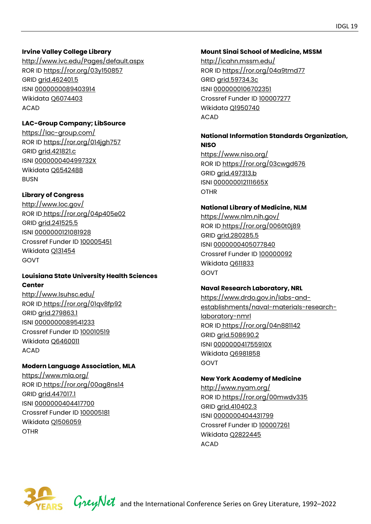#### **Irvine Valley College Library**

<http://www.ivc.edu/Pages/default.aspx> ROR ID<https://ror.org/03y150857> GRID [grid.462401.5](https://grid.ac/institutes/grid.462401.5)  ISNI [0000000089403914](http://isni.org/isni/0000000089403914)  Wikidata [Q6074403](https://www.wikidata.org/wiki/Q6074403) ACAD

#### **LAC-Group Company; LibSource**

<https://lac-group.com/> ROR ID<https://ror.org/014jgh757> GRID [grid.421821.c](https://grid.ac/institutes/grid.421821.c)  ISNI [000000040499732X](http://isni.org/isni/000000040499732X) Wikidata [Q6542488](https://www.wikidata.org/wiki/Q6542488) BUSN

# **Library of Congress**

<http://www.loc.gov/> ROR ID<https://ror.org/04p405e02> GRID [grid.241525.5](https://grid.ac/institutes/grid.241525.5) ISNI [0000000121081928](http://isni.org/isni/0000000121081928) Crossref Funder ID [100005451](https://api.crossref.org/funders/100005451) Wikidata [Q131454](https://www.wikidata.org/wiki/Q131454)  GOVT

#### **Louisiana State University Health Sciences Center**

<http://www.lsuhsc.edu/> ROR ID<https://ror.org/01qv8fp92> GRID [grid.279863.1](https://grid.ac/institutes/grid.279863.1)  ISNI [0000000089541233](http://isni.org/isni/0000000089541233) Crossref Funder ID [100010519](https://api.crossref.org/funders/100010519) Wikidata [Q6460011](https://www.wikidata.org/wiki/Q6460011)  ACAD

# **Modern Language Association, MLA**

<https://www.mla.org/> ROR ID<https://ror.org/00ag8ns14> GRID [grid.447017.1](https://grid.ac/institutes/grid.447017.1) ISNI [0000000404417700](http://isni.org/isni/0000000404417700)  Crossref Funder ID [100005181](https://api.crossref.org/funders/100005181) Wikidata [Q1506059](https://www.wikidata.org/wiki/Q1506059)  OTHR

#### **Mount Sinai School of Medicine, MSSM**

<http://icahn.mssm.edu/> ROR ID<https://ror.org/04a9tmd77> GRID [grid.59734.3c](https://grid.ac/institutes/grid.59734.3c)  ISNI [0000000106702351](http://isni.org/isni/0000000106702351) Crossref Funder ID [100007277](https://api.crossref.org/funders/100007277) Wikidata [Q1950740](https://www.wikidata.org/wiki/Q1950740)  ACAD

#### **National Information Standards Organization, NISO**

<https://www.niso.org/> ROR ID<https://ror.org/03cwgd676> GRID [grid.497313.b](https://grid.ac/institutes/grid.497313.b) ISNI [000000012111665X](http://isni.org/isni/000000012111665X)  OTHR

#### **National Library of Medicine, NLM**

<https://www.nlm.nih.gov/> ROR ID<https://ror.org/0060t0j89> GRID [grid.280285.5](https://grid.ac/institutes/grid.280285.5) ISNI [0000000405077840](http://isni.org/isni/0000000405077840)  Crossref Funder ID [100000092](https://api.crossref.org/funders/100000092)  Wikidata [Q611833](https://www.wikidata.org/wiki/Q611833)  GOVT

#### **Naval Research Laboratory, NRL**

[https://www.drdo.gov.in/labs-and](https://www.drdo.gov.in/labs-and-establishments/naval-materials-research-laboratory-nmrl)[establishments/naval-materials-research](https://www.drdo.gov.in/labs-and-establishments/naval-materials-research-laboratory-nmrl)[laboratory-nmrl](https://www.drdo.gov.in/labs-and-establishments/naval-materials-research-laboratory-nmrl)  ROR ID<https://ror.org/04n881142> GRID [grid.508690.2](https://grid.ac/institutes/grid.508690.2)  ISNI [000000041755910X](http://isni.org/isni/000000041755910X) Wikidata [Q6981858](https://www.wikidata.org/wiki/Q6981858)  GOVT

#### **New York Academy of Medicine**

<http://www.nyam.org/> ROR ID<https://ror.org/00mwdv335> GRID [grid.410402.3](https://grid.ac/institutes/grid.410402.3) ISNI [0000000404431799](http://isni.org/isni/0000000404431799) Crossref Funder ID [100007261](https://api.crossref.org/funders/100007261) Wikidata [Q2822445](https://www.wikidata.org/wiki/Q2822445) ACAD

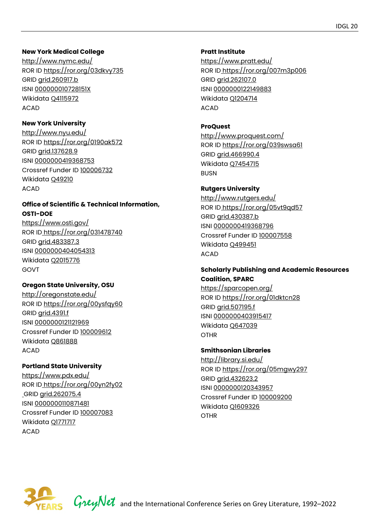#### **New York Medical College**

<http://www.nymc.edu/> ROR ID<https://ror.org/03dkvy735> GRID [grid.260917.b](https://grid.ac/institutes/grid.260917.b) ISNI [000000010728151X](http://isni.org/isni/000000010728151X)  Wikidata [Q4115972](https://www.wikidata.org/wiki/Q4115972) ACAD

#### **New York University**

<http://www.nyu.edu/> ROR ID<https://ror.org/0190ak572> GRID [grid.137628.9](https://grid.ac/institutes/grid.137628.9)  ISNI [0000000419368753](http://isni.org/isni/0000000419368753)  Crossref Funder ID [100006732](https://api.crossref.org/funders/100006732)  Wikidata [Q49210](https://www.wikidata.org/wiki/Q49210) ACAD

#### **Office of Scientific & Technical Information, OSTI-DOE**

<https://www.osti.gov/> ROR ID<https://ror.org/031478740> GRID [grid.483387.3](https://grid.ac/institutes/grid.483387.3) ISNI [0000000404054313](http://isni.org/isni/0000000404054313) Wikidata [Q2015776](https://www.wikidata.org/wiki/Q2015776) GOVT

#### **Oregon State University, OSU**

<http://oregonstate.edu/> ROR ID<https://ror.org/00ysfqy60> GRID [grid.4391.f](https://grid.ac/institutes/grid.4391.f) ISNI [0000000121121969](http://isni.org/isni/0000000121121969) Crossref Funder ID [100009612](https://api.crossref.org/funders/100009612)  Wikidata [Q861888](https://www.wikidata.org/wiki/Q861888) ACAD

#### **Portland State University**

<https://www.pdx.edu/> ROR ID<https://ror.org/00yn2fy02> GRID [grid.262075.4](https://grid.ac/institutes/grid.262075.4) ISNI [0000000110871481](http://isni.org/isni/0000000110871481) Crossref Funder ID [100007083](https://api.crossref.org/funders/100007083) Wikidata [Q1771717](https://www.wikidata.org/wiki/Q1771717) ACAD

#### **Pratt Institute**

<https://www.pratt.edu/> ROR ID<https://ror.org/007m3p006> GRID [grid.262107.0](https://grid.ac/institutes/grid.262107.0) ISNI [0000000122149883](http://isni.org/isni/0000000122149883)  Wikidata [Q1204714](https://www.wikidata.org/wiki/Q1204714) ACAD

#### **ProQuest**

<http://www.proquest.com/> ROR ID<https://ror.org/039swsa61> GRID [grid.466990.4](https://grid.ac/institutes/grid.466990.4) Wikidata [Q7454715](https://www.wikidata.org/wiki/Q7454715) **BUSN** 

# **Rutgers University**

<http://www.rutgers.edu/> ROR ID<https://ror.org/05vt9qd57> GRID [grid.430387.b](https://grid.ac/institutes/grid.430387.b) ISNI [0000000419368796](http://isni.org/isni/0000000419368796) Crossref Funder ID [100007558](https://api.crossref.org/funders/100007558)  Wikidata [Q499451](https://www.wikidata.org/wiki/Q499451) ACAD

#### **Scholarly Publishing and Academic Resources Coalition, SPARC**

<https://sparcopen.org/> ROR ID<https://ror.org/01dktcn28> GRID [grid.507195.f](https://grid.ac/institutes/grid.507195.f) ISNI [0000000403915417](http://isni.org/isni/0000000403915417) Wikidata [Q647039](https://www.wikidata.org/wiki/Q647039) OTHR

#### **Smithsonian Libraries**

<http://library.si.edu/> ROR ID<https://ror.org/05mgwy297> GRID [grid.432623.2](https://grid.ac/institutes/grid.432623.2) ISNI [0000000120343957](http://isni.org/isni/0000000120343957) Crossref Funder ID [100009200](https://api.crossref.org/funders/100009200)  Wikidata [Q1609326](https://www.wikidata.org/wiki/Q1609326)  OTHR



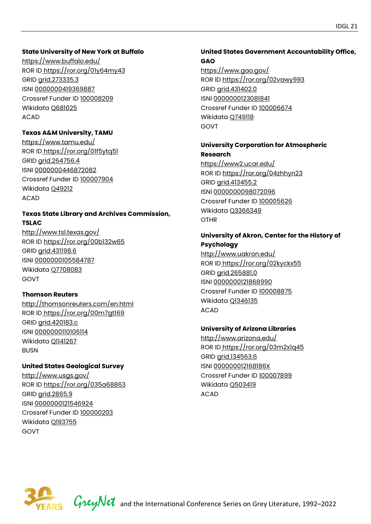#### **State University of New York at Buffalo**

<https://www.buffalo.edu/> ROR ID<https://ror.org/01y64my43> GRID [grid.273335.3](https://grid.ac/institutes/grid.273335.3) ISNI [0000000419369887](http://isni.org/isni/0000000419369887) Crossref Funder ID [100008209](https://api.crossref.org/funders/100008209)  Wikidata [Q681025](https://www.wikidata.org/wiki/Q681025)  ACAD

#### **Texas A&M University, TAMU**

<https://www.tamu.edu/> ROR ID<https://ror.org/01f5ytq51> GRID [grid.264756.4](https://grid.ac/institutes/grid.264756.4) ISNI [0000000446872082](http://isni.org/isni/0000000446872082)  Crossref Funder ID [100007904](https://api.crossref.org/funders/100007904)  Wikidata [Q49212](https://www.wikidata.org/wiki/Q49212) ACAD

# **Texas State Library and Archives Commission, TSLAC**

<http://www.tsl.texas.gov/> ROR ID<https://ror.org/00b132w65> GRID [grid.431198.6](https://grid.ac/institutes/grid.431198.6)  ISNI [0000000105584787](http://isni.org/isni/0000000105584787)  Wikidata [Q7708083](https://www.wikidata.org/wiki/Q7708083)  GOVT

#### **Thomson Reuters**

<http://thomsonreuters.com/en.html> ROR ID<https://ror.org/00m7gt169> GRID [grid.420183.c](https://grid.ac/institutes/grid.420183.c) ISNI [0000000110106114](http://isni.org/isni/0000000110106114)  Wikidata [Q1141267](https://www.wikidata.org/wiki/Q1141267) BUSN

#### **United States Geological Survey**

<http://www.usgs.gov/> ROR ID<https://ror.org/035a68863> GRID arid.2865.9 ISNI [0000000121546924](http://isni.org/isni/0000000121546924) Crossref Funder ID [100000203](https://api.crossref.org/funders/100000203) Wikidata [Q193755](https://www.wikidata.org/wiki/Q193755) GOVT

# **United States Government Accountability Office, GAO**

<https://www.gao.gov/> ROR ID<https://ror.org/02vawy993> GRID [grid.431402.0](https://grid.ac/institutes/grid.431402.0) ISNI [0000000123081841](http://isni.org/isni/0000000123081841) Crossref Funder ID [100006674](https://api.crossref.org/funders/100006674)  Wikidata [Q749118](https://www.wikidata.org/wiki/Q749118) GOVT

#### **University Corporation for Atmospheric Research**

<https://www2.ucar.edu/> ROR ID<https://ror.org/04zhhyn23> GRID [grid.413455.2](https://grid.ac/institutes/grid.413455.2) ISNI [0000000098072096](http://isni.org/isni/0000000098072096) Crossref Funder ID [100005626](https://api.crossref.org/funders/100005626) Wikidata [Q3366349](https://www.wikidata.org/wiki/Q3366349)  OTHR

#### **University of Akron, Center for the History of Psychology**

<http://www.uakron.edu/> ROR ID<https://ror.org/02kyckx55> GRID [grid.265881.0](https://grid.ac/institutes/grid.265881.0)  ISNI [0000000121868990](http://isni.org/isni/0000000121868990)  Crossref Funder ID [100008875](https://api.crossref.org/funders/100008875)  Wikidata [Q1346135](https://www.wikidata.org/wiki/Q1346135)  ACAD

#### **University of Arizona Libraries**

<http://www.arizona.edu/> ROR ID<https://ror.org/03m2x1q45> GRID [grid.134563.6](https://grid.ac/institutes/grid.134563.6)  ISNI [000000012168186X](http://isni.org/isni/000000012168186X)  Crossref Funder ID [100007899](https://api.crossref.org/funders/100007899)  Wikidata [Q503419](https://www.wikidata.org/wiki/Q503419)  ACAD

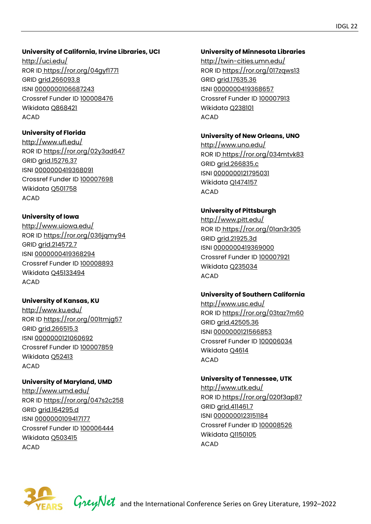#### **University of California, Irvine Libraries, UCI**

<http://uci.edu/> ROR ID<https://ror.org/04gyf1771> GRID [grid.266093.8](https://grid.ac/institutes/grid.266093.8)  ISNI [0000000106687243](http://isni.org/isni/0000000106687243)  Crossref Funder ID [100008476](https://api.crossref.org/funders/100008476)  Wikidata [Q868421](https://www.wikidata.org/wiki/Q868421)  ACAD

# **University of Florida**

<http://www.ufl.edu/> ROR ID<https://ror.org/02y3ad647> GRID [grid.15276.37](https://grid.ac/institutes/grid.15276.37)  ISNI [0000000419368091](http://isni.org/isni/0000000419368091)  Crossref Funder ID [100007698](https://api.crossref.org/funders/100007698)  Wikidata [Q501758](https://www.wikidata.org/wiki/Q501758) ACAD

# **University of Iowa**

<http://www.uiowa.edu/> ROR ID<https://ror.org/036jqmy94> GRID [grid.214572.7](https://grid.ac/institutes/grid.214572.7)  ISNI [0000000419368294](http://isni.org/isni/0000000419368294) Crossref Funder ID [100008893](https://api.crossref.org/funders/100008893) Wikidata [Q45133494](https://www.wikidata.org/wiki/Q45133494) ACAD

#### **University of Kansas, KU**

<http://www.ku.edu/> ROR ID<https://ror.org/001tmjg57> GRID [grid.266515.3](https://grid.ac/institutes/grid.266515.3) ISNI [0000000121060692](http://isni.org/isni/0000000121060692) Crossref Funder ID [100007859](https://api.crossref.org/funders/100007859)  Wikidata [Q52413](https://www.wikidata.org/wiki/Q52413) ACAD

#### **University of Maryland, UMD**

<http://www.umd.edu/> ROR ID<https://ror.org/047s2c258> GRID [grid.164295.d](https://grid.ac/institutes/grid.164295.d) ISNI [0000000109417177](http://isni.org/isni/0000000109417177)  Crossref Funder ID [100006444](https://api.crossref.org/funders/100006444) Wikidata [Q503415](https://www.wikidata.org/wiki/Q503415)  ACAD

#### **University of Minnesota Libraries**

<http://twin-cities.umn.edu/> ROR ID<https://ror.org/017zqws13> GRID [grid.17635.36](https://grid.ac/institutes/grid.17635.36)  ISNI [0000000419368657](http://isni.org/isni/0000000419368657) Crossref Funder ID [100007913](https://api.crossref.org/funders/100007913) Wikidata [Q238101](https://www.wikidata.org/wiki/Q238101) ACAD

# **University of New Orleans, UNO**

<http://www.uno.edu/> ROR ID<https://ror.org/034mtvk83> GRID [grid.266835.c](https://grid.ac/institutes/grid.266835.c) ISNI [0000000121795031](http://isni.org/isni/0000000121795031) Wikidata [Q1474157](https://www.wikidata.org/wiki/Q1474157)  ACAD

# **University of Pittsburgh**

<http://www.pitt.edu/> ROR ID<https://ror.org/01an3r305> GRID [grid.21925.3d](https://grid.ac/institutes/grid.21925.3d) ISNI [0000000419369000](http://isni.org/isni/0000000419369000) Crossref Funder ID [100007921](https://api.crossref.org/funders/100007921) Wikidata [Q235034](https://www.wikidata.org/wiki/Q235034) ACAD

#### **University of Southern California**

<http://www.usc.edu/> ROR ID<https://ror.org/03taz7m60> GRID [grid.42505.36](https://grid.ac/institutes/grid.42505.36) ISNI [0000000121566853](http://isni.org/isni/0000000121566853) Crossref Funder ID [100006034](https://api.crossref.org/funders/100006034) Wikidata [Q4614](https://www.wikidata.org/wiki/Q4614)  ACAD

# **University of Tennessee, UTK**

<http://www.utk.edu/> ROR ID<https://ror.org/020f3ap87> GRID [grid.411461.7](https://grid.ac/institutes/grid.411461.7) ISNI [0000000123151184](http://isni.org/isni/0000000123151184) Crossref Funder ID [100008526](https://api.crossref.org/funders/100008526) Wikidata [Q1150105](https://www.wikidata.org/wiki/Q1150105) ACAD